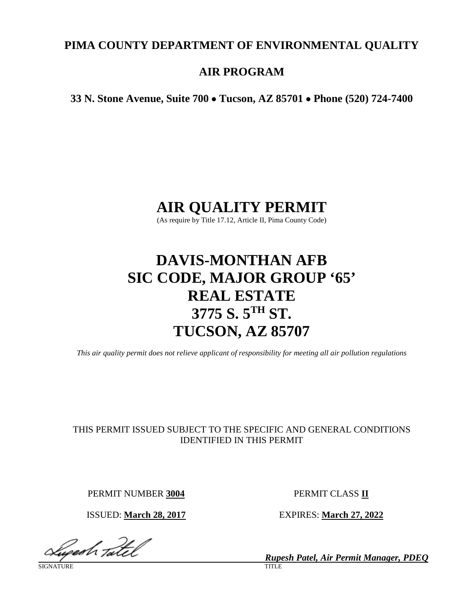# **PIMA COUNTY DEPARTMENT OF ENVIRONMENTAL QUALITY**

# **AIR PROGRAM**

**33 N. Stone Avenue, Suite 700** • **Tucson, AZ 85701** • **Phone (520) 724-7400**

# **AIR QUALITY PERMIT**

(As require by Title 17.12, Article II, Pima County Code)

# **DAVIS-MONTHAN AFB SIC CODE, MAJOR GROUP '65' REAL ESTATE 3775 S. 5TH ST. TUCSON, AZ 85707**

*This air quality permit does not relieve applicant of responsibility for meeting all air pollution regulations*

# THIS PERMIT ISSUED SUBJECT TO THE SPECIFIC AND GENERAL CONDITIONS IDENTIFIED IN THIS PERMIT

PERMIT NUMBER **3004** PERMIT CLASS **II**

Geesh Tatel

SIGNATURE TITLE THE SERVICE OF THE SERVICE OF THE SERVICE OF THE SERVICE OF THE SERVICE OF THE SERVICE OF THE S

ISSUED: **March 28, 2017** EXPIRES: **March 27, 2022**

*Rupesh Patel, Air Permit Manager, PDEQ*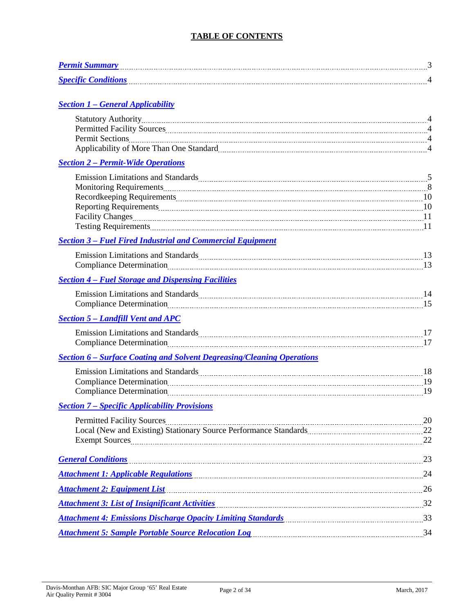# **TABLE OF CONTENTS**

| <b>Permit Summary</b>      |  |
|----------------------------|--|
| <b>Specific Conditions</b> |  |

# *Section 1 – [General Applicability](#page-3-0)*

| Applicability of More Than One Standard [11] Applicability of More Than One Standard [11] Applicability of More Than One Standard [11] Applicability of More Than One Standard [11] Applicability of More Than One Standard [1       |    |
|--------------------------------------------------------------------------------------------------------------------------------------------------------------------------------------------------------------------------------------|----|
| <b>Section 2 - Permit-Wide Operations</b>                                                                                                                                                                                            |    |
| Emission Limitations and Standards Manual Manual Manual Manual Manual Manual Manual Manual Manual 5                                                                                                                                  |    |
|                                                                                                                                                                                                                                      |    |
|                                                                                                                                                                                                                                      |    |
|                                                                                                                                                                                                                                      |    |
| Facility Changes <u>manual contract and the set of the set of the set of the set of the set of the set of the set of the set of the set of the set of the set of the set of the set of the set of the set of the set of the set </u> |    |
|                                                                                                                                                                                                                                      |    |
| <b>Section 3 - Fuel Fired Industrial and Commercial Equipment</b>                                                                                                                                                                    |    |
| Emission Limitations and Standards Manual Manual Manual Manual Manual Manual Manual Manual Manual Manual Manua                                                                                                                       |    |
|                                                                                                                                                                                                                                      |    |
| <b>Section 4 - Fuel Storage and Dispensing Facilities</b>                                                                                                                                                                            |    |
|                                                                                                                                                                                                                                      |    |
|                                                                                                                                                                                                                                      |    |
| <b>Section 5 - Landfill Vent and APC</b>                                                                                                                                                                                             |    |
| Emission Limitations and Standards Manual Manual Manual Manual Manual Manual Manual Manual 17                                                                                                                                        |    |
|                                                                                                                                                                                                                                      |    |
| <b>Section 6 – Surface Coating and Solvent Degreasing/Cleaning Operations</b>                                                                                                                                                        |    |
| Emission Limitations and Standards [18] [18] The Manuscript Contract of Standards [18] [18] IS                                                                                                                                       |    |
|                                                                                                                                                                                                                                      |    |
|                                                                                                                                                                                                                                      |    |
| <b>Section 7 – Specific Applicability Provisions</b>                                                                                                                                                                                 |    |
| Permitted Facility Sources 20 non-contact the contract of the contract of the contract of the contract of the contract of the contract of the contract of the contract of the contract of the contract of the contract of the        |    |
|                                                                                                                                                                                                                                      |    |
| Exempt Sources 22                                                                                                                                                                                                                    |    |
| General Conditions <b>Subset of the Conditions Conditions Conditions Conditions Conditions</b>                                                                                                                                       | 23 |
| Attachment 1: Applicable Regulations 14 and 24                                                                                                                                                                                       |    |
| Attachment 2: Equipment List 26 26                                                                                                                                                                                                   |    |
| <b>Attachment 3: List of Insignificant Activities</b>                                                                                                                                                                                |    |
| Attachment 4: Emissions Discharge Opacity Limiting Standards<br>33                                                                                                                                                                   |    |
|                                                                                                                                                                                                                                      |    |
|                                                                                                                                                                                                                                      |    |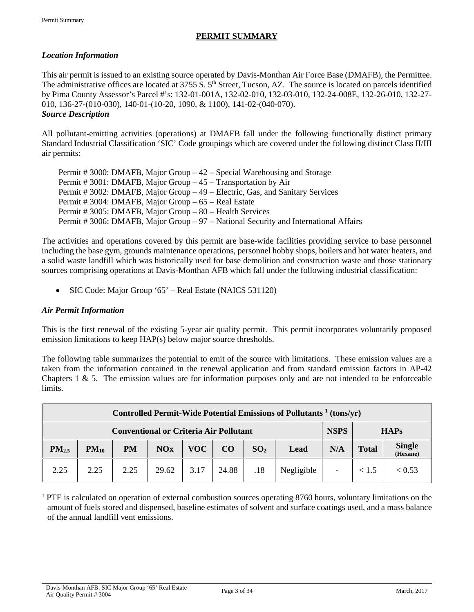# **PERMIT SUMMARY**

# <span id="page-2-0"></span>*Location Information*

This air permit is issued to an existing source operated by Davis-Monthan Air Force Base (DMAFB), the Permittee. The administrative offices are located at 3755 S. 5<sup>th</sup> Street, Tucson, AZ. The source is located on parcels identified by Pima County Assessor's Parcel #'s: 132-01-001A, 132-02-010, 132-03-010, 132-24-008E, 132-26-010, 132-27- 010, 136-27-(010-030), 140-01-(10-20, 1090, & 1100), 141-02-(040-070). *Source Description*

All pollutant-emitting activities (operations) at DMAFB fall under the following functionally distinct primary Standard Industrial Classification 'SIC' Code groupings which are covered under the following distinct Class II/III air permits:

| Permit # 3000: DMAFB, Major Group $-42$ – Special Warehousing and Storage            |
|--------------------------------------------------------------------------------------|
| Permit # 3001: DMAFB, Major Group – 45 – Transportation by Air                       |
| Permit # 3002: DMAFB, Major Group – 49 – Electric, Gas, and Sanitary Services        |
| Permit # 3004: DMAFB, Major Group – 65 – Real Estate                                 |
| Permit # 3005: DMAFB, Major Group – 80 – Health Services                             |
| Permit # 3006: DMAFB, Major Group – 97 – National Security and International Affairs |

The activities and operations covered by this permit are base-wide facilities providing service to base personnel including the base gym, grounds maintenance operations, personnel hobby shops, boilers and hot water heaters, and a solid waste landfill which was historically used for base demolition and construction waste and those stationary sources comprising operations at Davis-Monthan AFB which fall under the following industrial classification:

• SIC Code: Major Group '65' – Real Estate (NAICS 531120)

# *Air Permit Information*

This is the first renewal of the existing 5-year air quality permit. This permit incorporates voluntarily proposed emission limitations to keep HAP(s) below major source thresholds.

The following table summarizes the potential to emit of the source with limitations. These emission values are a taken from the information contained in the renewal application and from standard emission factors in AP-42 Chapters 1  $\&$  5. The emission values are for information purposes only and are not intended to be enforceable limits.

| Controlled Permit-Wide Potential Emissions of Pollutants <sup>1</sup> (tons/yr) |                                                                             |           |       |      |       |                 |            |     |              |                    |
|---------------------------------------------------------------------------------|-----------------------------------------------------------------------------|-----------|-------|------|-------|-----------------|------------|-----|--------------|--------------------|
|                                                                                 | <b>NSPS</b><br><b>Conventional or Criteria Air Pollutant</b><br><b>HAPs</b> |           |       |      |       |                 |            |     |              |                    |
| PM <sub>2.5</sub>                                                               | $PM_{10}$                                                                   | <b>PM</b> | NOx   | VOC  | CO    | SO <sub>2</sub> | Lead       | N/A | <b>Total</b> | Single<br>(Hexane) |
| 2.25                                                                            | 2.25                                                                        | 2.25      | 29.62 | 3.17 | 24.88 | .18             | Negligible |     | < 1.5        | < 0.53             |

 $1$  PTE is calculated on operation of external combustion sources operating 8760 hours, voluntary limitations on the amount of fuels stored and dispensed, baseline estimates of solvent and surface coatings used, and a mass balance of the annual landfill vent emissions.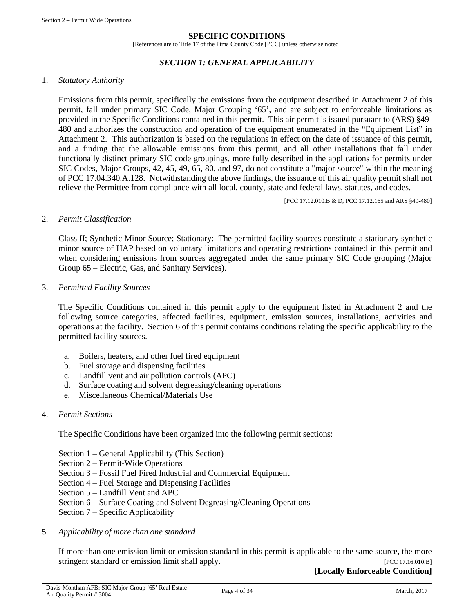#### **SPECIFIC CONDITIONS**

[References are to Title 17 of the Pima County Code [PCC] unless otherwise noted]

#### *SECTION 1: GENERAL APPLICABILITY*

#### <span id="page-3-0"></span>1. *Statutory Authority*

Emissions from this permit, specifically the emissions from the equipment described in Attachment 2 of this permit, fall under primary SIC Code, Major Grouping '65', and are subject to enforceable limitations as provided in the Specific Conditions contained in this permit. This air permit is issued pursuant to (ARS) §49- 480 and authorizes the construction and operation of the equipment enumerated in the "Equipment List" in Attachment 2. This authorization is based on the regulations in effect on the date of issuance of this permit, and a finding that the allowable emissions from this permit, and all other installations that fall under functionally distinct primary SIC code groupings, more fully described in the applications for permits under SIC Codes, Major Groups, 42, 45, 49, 65, 80, and 97, do not constitute a "major source" within the meaning of PCC 17.04.340.A.128. Notwithstanding the above findings, the issuance of this air quality permit shall not relieve the Permittee from compliance with all local, county, state and federal laws, statutes, and codes.

[PCC 17.12.010.B & D, PCC 17.12.165 and ARS §49-480]

#### 2. *Permit Classification*

Class II; Synthetic Minor Source; Stationary: The permitted facility sources constitute a stationary synthetic minor source of HAP based on voluntary limitations and operating restrictions contained in this permit and when considering emissions from sources aggregated under the same primary SIC Code grouping (Major Group 65 – Electric, Gas, and Sanitary Services).

#### 3. *Permitted Facility Sources*

The Specific Conditions contained in this permit apply to the equipment listed in Attachment 2 and the following source categories, affected facilities, equipment, emission sources, installations, activities and operations at the facility. Section 6 of this permit contains conditions relating the specific applicability to the permitted facility sources.

- a. Boilers, heaters, and other fuel fired equipment
- b. Fuel storage and dispensing facilities
- c. Landfill vent and air pollution controls (APC)
- d. Surface coating and solvent degreasing/cleaning operations
- e. Miscellaneous Chemical/Materials Use

#### 4. *Permit Sections*

The Specific Conditions have been organized into the following permit sections:

- Section 1 General Applicability (This Section)
- Section 2 Permit-Wide Operations
- Section 3 Fossil Fuel Fired Industrial and Commercial Equipment
- Section 4 Fuel Storage and Dispensing Facilities
- Section 5 Landfill Vent and APC
- Section 6 Surface Coating and Solvent Degreasing/Cleaning Operations
- Section 7 Specific Applicability
- 5. *Applicability of more than one standard*

If more than one emission limit or emission standard in this permit is applicable to the same source, the more stringent standard or emission limit shall apply. [PCC 17.16.010.B]

**[Locally Enforceable Condition]**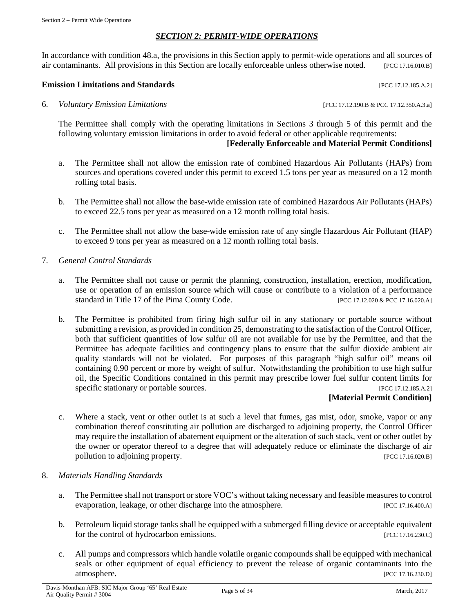### *SECTION 2: PERMIT-WIDE OPERATIONS*

<span id="page-4-0"></span>In accordance with condition 48.a, the provisions in this Section apply to permit-wide operations and all sources of air contaminants. All provisions in this Section are locally enforceable unless otherwise noted. [PCC 17.16.010.B]

#### **Emission Limitations and Standards** [PCC 17.12.185.A.2]

6. *Voluntary Emission Limitations* [PCC 17.12.190.B & PCC 17.12.350.A.3.a]

The Permittee shall comply with the operating limitations in Sections 3 through 5 of this permit and the following voluntary emission limitations in order to avoid federal or other applicable requirements:

# **[Federally Enforceable and Material Permit Conditions]**

- a. The Permittee shall not allow the emission rate of combined Hazardous Air Pollutants (HAPs) from sources and operations covered under this permit to exceed 1.5 tons per year as measured on a 12 month rolling total basis.
- b. The Permittee shall not allow the base-wide emission rate of combined Hazardous Air Pollutants (HAPs) to exceed 22.5 tons per year as measured on a 12 month rolling total basis.
- c. The Permittee shall not allow the base-wide emission rate of any single Hazardous Air Pollutant (HAP) to exceed 9 tons per year as measured on a 12 month rolling total basis.
- 7. *General Control Standards*
	- a. The Permittee shall not cause or permit the planning, construction, installation, erection, modification, use or operation of an emission source which will cause or contribute to a violation of a performance standard in Title 17 of the Pima County Code. [PCC 17.12.020 & PCC 17.16.020.A]
	- b. The Permittee is prohibited from firing high sulfur oil in any stationary or portable source without submitting a revision, as provided in condition 25, demonstrating to the satisfaction of the Control Officer, both that sufficient quantities of low sulfur oil are not available for use by the Permittee, and that the Permittee has adequate facilities and contingency plans to ensure that the sulfur dioxide ambient air quality standards will not be violated. For purposes of this paragraph "high sulfur oil" means oil containing 0.90 percent or more by weight of sulfur. Notwithstanding the prohibition to use high sulfur oil, the Specific Conditions contained in this permit may prescribe lower fuel sulfur content limits for specific stationary or portable sources. [PCC 17.12.185.A.2]

#### **[Material Permit Condition]**

- c. Where a stack, vent or other outlet is at such a level that fumes, gas mist, odor, smoke, vapor or any combination thereof constituting air pollution are discharged to adjoining property, the Control Officer may require the installation of abatement equipment or the alteration of such stack, vent or other outlet by the owner or operator thereof to a degree that will adequately reduce or eliminate the discharge of air pollution to adjoining property. [PCC 17.16.020.B]
- 8. *Materials Handling Standards*
	- a. The Permittee shall not transport or store VOC's without taking necessary and feasible measures to control evaporation, leakage, or other discharge into the atmosphere. [PCC 17.16.400.A]
	- b. Petroleum liquid storage tanks shall be equipped with a submerged filling device or acceptable equivalent for the control of hydrocarbon emissions. [PCC 17.16.230.C]
	- c. All pumps and compressors which handle volatile organic compounds shall be equipped with mechanical seals or other equipment of equal efficiency to prevent the release of organic contaminants into the atmosphere. [PCC 17.16.230.D]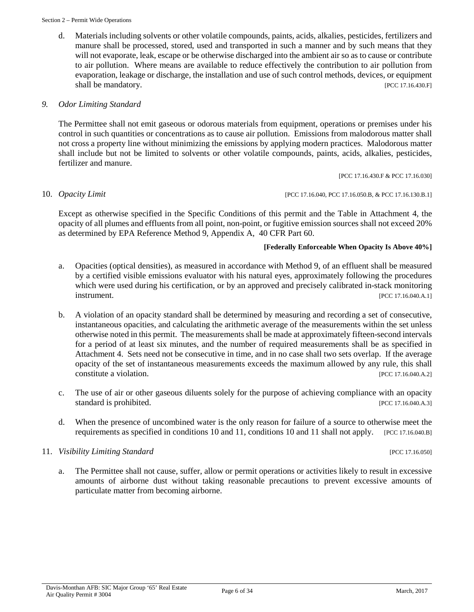d. Materials including solvents or other volatile compounds, paints, acids, alkalies, pesticides, fertilizers and manure shall be processed, stored, used and transported in such a manner and by such means that they will not evaporate, leak, escape or be otherwise discharged into the ambient air so as to cause or contribute to air pollution. Where means are available to reduce effectively the contribution to air pollution from evaporation, leakage or discharge, the installation and use of such control methods, devices, or equipment shall be mandatory. [PCC 17.16.430.F]

# *9. Odor Limiting Standard*

The Permittee shall not emit gaseous or odorous materials from equipment, operations or premises under his control in such quantities or concentrations as to cause air pollution. Emissions from malodorous matter shall not cross a property line without minimizing the emissions by applying modern practices. Malodorous matter shall include but not be limited to solvents or other volatile compounds, paints, acids, alkalies, pesticides, fertilizer and manure.

[PCC 17.16.430.F & PCC 17.16.030]

10. *Opacity Limit* [PCC 17.16.040, PCC 17.16.050.B, & PCC 17.16.130.B.1]

Except as otherwise specified in the Specific Conditions of this permit and the Table in Attachment 4, the opacity of all plumes and effluents from all point, non-point, or fugitive emission sources shall not exceed 20% as determined by EPA Reference Method 9, Appendix A, 40 CFR Part 60.

#### **[Federally Enforceable When Opacity Is Above 40%]**

- a. Opacities (optical densities), as measured in accordance with Method 9, of an effluent shall be measured by a certified visible emissions evaluator with his natural eyes, approximately following the procedures which were used during his certification, or by an approved and precisely calibrated in-stack monitoring **instrument.** [PCC 17.16.040.A.1]
- b. A violation of an opacity standard shall be determined by measuring and recording a set of consecutive, instantaneous opacities, and calculating the arithmetic average of the measurements within the set unless otherwise noted in this permit. The measurements shall be made at approximately fifteen-second intervals for a period of at least six minutes, and the number of required measurements shall be as specified in Attachment 4. Sets need not be consecutive in time, and in no case shall two sets overlap. If the average opacity of the set of instantaneous measurements exceeds the maximum allowed by any rule, this shall constitute a violation. [PCC 17.16.040.A.2]
- c. The use of air or other gaseous diluents solely for the purpose of achieving compliance with an opacity standard is prohibited. [PCC 17.16.040.A.3]
- d. When the presence of uncombined water is the only reason for failure of a source to otherwise meet the requirements as specified in conditions 10 and 11, conditions 10 and 11 shall not apply. [PCC 17.16.040.B]

#### 11. *Visibility Limiting Standard* [PCC 17.16.050]

a. The Permittee shall not cause, suffer, allow or permit operations or activities likely to result in excessive amounts of airborne dust without taking reasonable precautions to prevent excessive amounts of particulate matter from becoming airborne.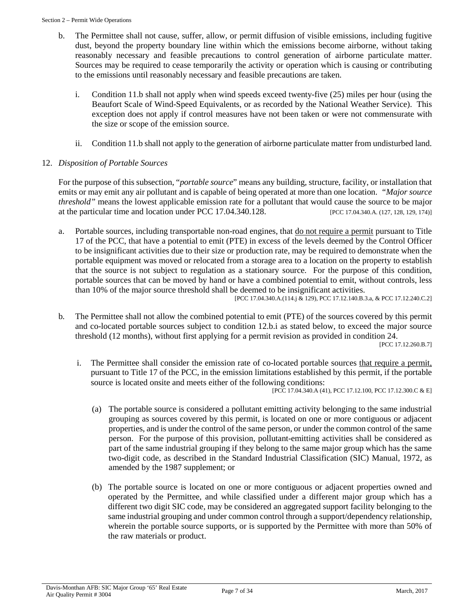- b. The Permittee shall not cause, suffer, allow, or permit diffusion of visible emissions, including fugitive dust, beyond the property boundary line within which the emissions become airborne, without taking reasonably necessary and feasible precautions to control generation of airborne particulate matter. Sources may be required to cease temporarily the activity or operation which is causing or contributing to the emissions until reasonably necessary and feasible precautions are taken.
	- i. Condition 11.b shall not apply when wind speeds exceed twenty-five (25) miles per hour (using the Beaufort Scale of Wind-Speed Equivalents, or as recorded by the National Weather Service). This exception does not apply if control measures have not been taken or were not commensurate with the size or scope of the emission source.
	- ii. Condition 11.b shall not apply to the generation of airborne particulate matter from undisturbed land.

# 12. *Disposition of Portable Sources*

For the purpose of this subsection, "*portable source*" means any building, structure, facility, or installation that emits or may emit any air pollutant and is capable of being operated at more than one location. *"Major source threshold"* means the lowest applicable emission rate for a pollutant that would cause the source to be major at the particular time and location under PCC 17.04.340.128. [PCC 17.04.340.A. (127, 128, 129, 174)]

a. Portable sources, including transportable non-road engines, that <u>do not require a permit</u> pursuant to Title 17 of the PCC, that have a potential to emit (PTE) in excess of the levels deemed by the Control Officer to be insignificant activities due to their size or production rate, may be required to demonstrate when the portable equipment was moved or relocated from a storage area to a location on the property to establish that the source is not subject to regulation as a stationary source. For the purpose of this condition, portable sources that can be moved by hand or have a combined potential to emit, without controls, less than 10% of the major source threshold shall be deemed to be insignificant activities.

[PCC 17.04.340.A.(114.j & 129), PCC 17.12.140.B.3.a, & PCC 17.12.240.C.2]

b*.* The Permittee shall not allow the combined potential to emit (PTE) of the sources covered by this permit and co-located portable sources subject to condition 12.b.i as stated below, to exceed the major source threshold (12 months), without first applying for a permit revision as provided in condition 24.

[PCC 17.12.260.B.7]

i. The Permittee shall consider the emission rate of co-located portable sources that require a permit, pursuant to Title 17 of the PCC, in the emission limitations established by this permit, if the portable source is located onsite and meets either of the following conditions:

[PCC 17.04.340.A (41), PCC 17.12.100, PCC 17.12.300.C & E]

- (a) The portable source is considered a pollutant emitting activity belonging to the same industrial grouping as sources covered by this permit, is located on one or more contiguous or adjacent properties, and is under the control of the same person, or under the common control of the same person. For the purpose of this provision, pollutant-emitting activities shall be considered as part of the same industrial grouping if they belong to the same major group which has the same two-digit code, as described in the Standard Industrial Classification (SIC) Manual, 1972, as amended by the 1987 supplement; or
- (b) The portable source is located on one or more contiguous or adjacent properties owned and operated by the Permittee, and while classified under a different major group which has a different two digit SIC code, may be considered an aggregated support facility belonging to the same industrial grouping and under common control through a support/dependency relationship, wherein the portable source supports, or is supported by the Permittee with more than 50% of the raw materials or product.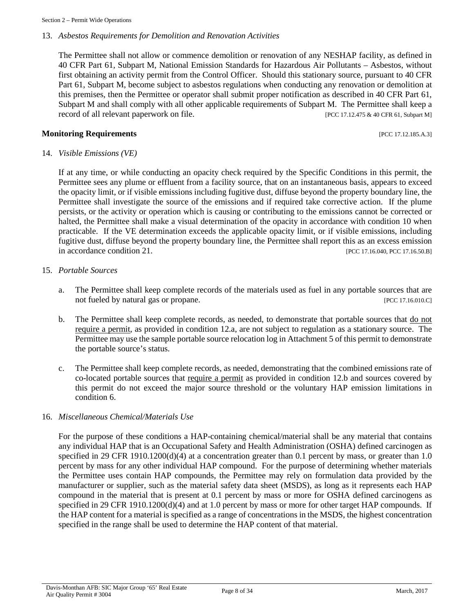#### 13. *Asbestos Requirements for Demolition and Renovation Activities*

The Permittee shall not allow or commence demolition or renovation of any NESHAP facility, as defined in 40 CFR Part 61, Subpart M, National Emission Standards for Hazardous Air Pollutants – Asbestos, without first obtaining an activity permit from the Control Officer. Should this stationary source, pursuant to 40 CFR Part 61, Subpart M, become subject to asbestos regulations when conducting any renovation or demolition at this premises, then the Permittee or operator shall submit proper notification as described in 40 CFR Part 61, Subpart M and shall comply with all other applicable requirements of Subpart M. The Permittee shall keep a record of all relevant paperwork on file. [PCC 17.12.475 & 40 CFR 61, Subpart M]

#### **Monitoring Requirements Exercíal Exercíal Exercíal Exercíal Exercíal Exercíal Exercíal Exercíal Exercíal Exercíal Exercíal Exercíal Exercíal Exercíal Exercíal Exercíal Exercíal Exercíal Exercíal Exercíal Exercíal Exercí**

#### 14. *Visible Emissions (VE)*

If at any time, or while conducting an opacity check required by the Specific Conditions in this permit, the Permittee sees any plume or effluent from a facility source, that on an instantaneous basis, appears to exceed the opacity limit, or if visible emissions including fugitive dust, diffuse beyond the property boundary line, the Permittee shall investigate the source of the emissions and if required take corrective action. If the plume persists, or the activity or operation which is causing or contributing to the emissions cannot be corrected or halted, the Permittee shall make a visual determination of the opacity in accordance with condition 10 when practicable. If the VE determination exceeds the applicable opacity limit, or if visible emissions, including fugitive dust, diffuse beyond the property boundary line, the Permittee shall report this as an excess emission in accordance condition 21. [PCC 17.16.040, PCC 17.16.50.B]

#### 15. *Portable Sources*

- a. The Permittee shall keep complete records of the materials used as fuel in any portable sources that are not fueled by natural gas or propane. [PCC 17.16.010.C]
- b. The Permittee shall keep complete records, as needed, to demonstrate that portable sources that do not require a permit, as provided in condition 12.a, are not subject to regulation as a stationary source. The Permittee may use the sample portable source relocation log in Attachment 5 of this permit to demonstrate the portable source's status.
- c. The Permittee shall keep complete records, as needed, demonstrating that the combined emissions rate of co-located portable sources that require a permit as provided in condition 12.b and sources covered by this permit do not exceed the major source threshold or the voluntary HAP emission limitations in condition 6.

### 16. *Miscellaneous Chemical/Materials Use*

For the purpose of these conditions a HAP-containing chemical/material shall be any material that contains any individual HAP that is an Occupational Safety and Health Administration (OSHA) defined carcinogen as specified in 29 CFR 1910.1200(d)(4) at a concentration greater than 0.1 percent by mass, or greater than 1.0 percent by mass for any other individual HAP compound. For the purpose of determining whether materials the Permittee uses contain HAP compounds, the Permittee may rely on formulation data provided by the manufacturer or supplier, such as the material safety data sheet (MSDS), as long as it represents each HAP compound in the material that is present at 0.1 percent by mass or more for OSHA defined carcinogens as specified in 29 CFR 1910.1200(d)(4) and at 1.0 percent by mass or more for other target HAP compounds. If the HAP content for a material is specified as a range of concentrations in the MSDS, the highest concentration specified in the range shall be used to determine the HAP content of that material.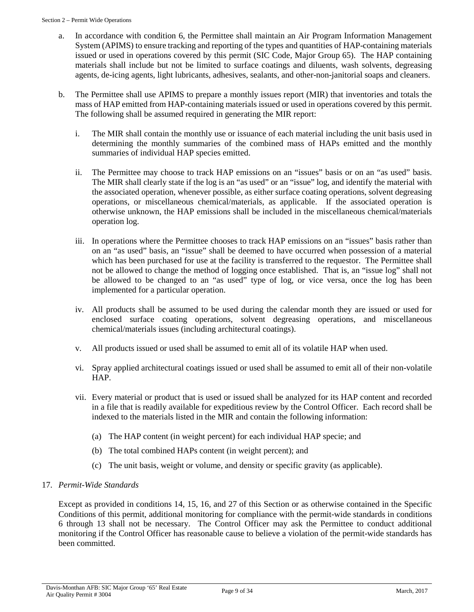- a. In accordance with condition 6, the Permittee shall maintain an Air Program Information Management System (APIMS) to ensure tracking and reporting of the types and quantities of HAP-containing materials issued or used in operations covered by this permit (SIC Code, Major Group 65). The HAP containing materials shall include but not be limited to surface coatings and diluents, wash solvents, degreasing agents, de-icing agents, light lubricants, adhesives, sealants, and other-non-janitorial soaps and cleaners.
- b. The Permittee shall use APIMS to prepare a monthly issues report (MIR) that inventories and totals the mass of HAP emitted from HAP-containing materials issued or used in operations covered by this permit. The following shall be assumed required in generating the MIR report:
	- i. The MIR shall contain the monthly use or issuance of each material including the unit basis used in determining the monthly summaries of the combined mass of HAPs emitted and the monthly summaries of individual HAP species emitted.
	- ii. The Permittee may choose to track HAP emissions on an "issues" basis or on an "as used" basis. The MIR shall clearly state if the log is an "as used" or an "issue" log, and identify the material with the associated operation, whenever possible, as either surface coating operations, solvent degreasing operations, or miscellaneous chemical/materials, as applicable. If the associated operation is otherwise unknown, the HAP emissions shall be included in the miscellaneous chemical/materials operation log.
	- iii. In operations where the Permittee chooses to track HAP emissions on an "issues" basis rather than on an "as used" basis, an "issue" shall be deemed to have occurred when possession of a material which has been purchased for use at the facility is transferred to the requestor. The Permittee shall not be allowed to change the method of logging once established. That is, an "issue log" shall not be allowed to be changed to an "as used" type of log, or vice versa, once the log has been implemented for a particular operation.
	- iv. All products shall be assumed to be used during the calendar month they are issued or used for enclosed surface coating operations, solvent degreasing operations, and miscellaneous chemical/materials issues (including architectural coatings).
	- v. All products issued or used shall be assumed to emit all of its volatile HAP when used.
	- vi. Spray applied architectural coatings issued or used shall be assumed to emit all of their non-volatile HAP.
	- vii. Every material or product that is used or issued shall be analyzed for its HAP content and recorded in a file that is readily available for expeditious review by the Control Officer. Each record shall be indexed to the materials listed in the MIR and contain the following information:
		- (a) The HAP content (in weight percent) for each individual HAP specie; and
		- (b) The total combined HAPs content (in weight percent); and
		- (c) The unit basis, weight or volume, and density or specific gravity (as applicable).

# 17. *Permit-Wide Standards*

Except as provided in conditions 14, 15, 16, and 27 of this Section or as otherwise contained in the Specific Conditions of this permit, additional monitoring for compliance with the permit-wide standards in conditions 6 through 13 shall not be necessary. The Control Officer may ask the Permittee to conduct additional monitoring if the Control Officer has reasonable cause to believe a violation of the permit-wide standards has been committed.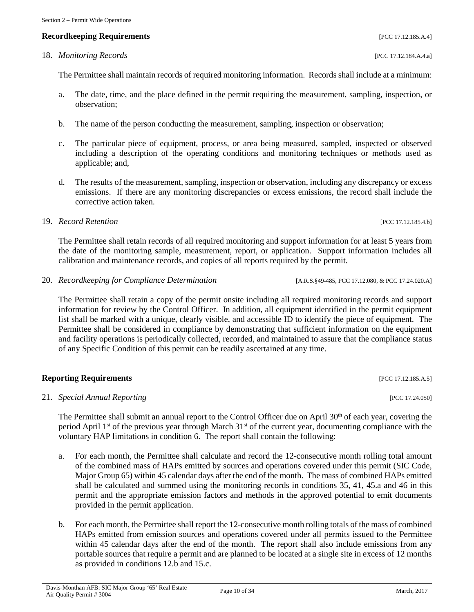# **Recordkeeping Requirements** [PCC 17.12.185.A.4]

# 18. *Monitoring Records* [PCC 17.12.184.A.4.a]

The Permittee shall maintain records of required monitoring information. Records shall include at a minimum:

- a. The date, time, and the place defined in the permit requiring the measurement, sampling, inspection, or observation;
- b. The name of the person conducting the measurement, sampling, inspection or observation;
- c. The particular piece of equipment, process, or area being measured, sampled, inspected or observed including a description of the operating conditions and monitoring techniques or methods used as applicable; and,
- d. The results of the measurement, sampling, inspection or observation, including any discrepancy or excess emissions. If there are any monitoring discrepancies or excess emissions, the record shall include the corrective action taken.
- 19. *Record Retention* [PCC 17.12.185.4.b]

The Permittee shall retain records of all required monitoring and support information for at least 5 years from the date of the monitoring sample, measurement, report, or application. Support information includes all calibration and maintenance records, and copies of all reports required by the permit.

20. *Recordkeeping for Compliance Determination* [A.R.S.§49-485, PCC 17.12.080, & PCC 17.24.020.A]

The Permittee shall retain a copy of the permit onsite including all required monitoring records and support information for review by the Control Officer. In addition, all equipment identified in the permit equipment list shall be marked with a unique, clearly visible, and accessible ID to identify the piece of equipment. The Permittee shall be considered in compliance by demonstrating that sufficient information on the equipment and facility operations is periodically collected, recorded, and maintained to assure that the compliance status of any Specific Condition of this permit can be readily ascertained at any time.

# **Reporting Requirements** [PCC 17.12.185.A.5]

21. *Special Annual Reporting* [PCC 17.24.050]

The Permittee shall submit an annual report to the Control Officer due on April 30<sup>th</sup> of each year, covering the period April 1<sup>st</sup> of the previous year through March 31<sup>st</sup> of the current year, documenting compliance with the voluntary HAP limitations in condition 6. The report shall contain the following:

- a. For each month, the Permittee shall calculate and record the 12-consecutive month rolling total amount of the combined mass of HAPs emitted by sources and operations covered under this permit (SIC Code, Major Group 65) within 45 calendar days after the end of the month. The mass of combined HAPs emitted shall be calculated and summed using the monitoring records in conditions 35, 41, 45.a and 46 in this permit and the appropriate emission factors and methods in the approved potential to emit documents provided in the permit application.
- b. For each month, the Permittee shall report the 12-consecutive month rolling totals of the mass of combined HAPs emitted from emission sources and operations covered under all permits issued to the Permittee within 45 calendar days after the end of the month. The report shall also include emissions from any portable sources that require a permit and are planned to be located at a single site in excess of 12 months as provided in conditions 12.b and 15.c.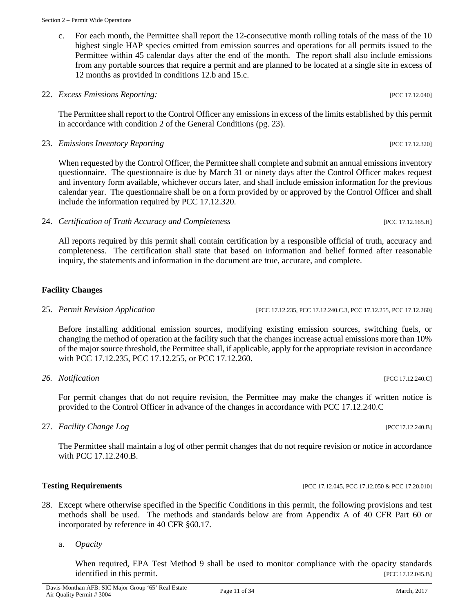c. For each month, the Permittee shall report the 12-consecutive month rolling totals of the mass of the 10 highest single HAP species emitted from emission sources and operations for all permits issued to the Permittee within 45 calendar days after the end of the month. The report shall also include emissions from any portable sources that require a permit and are planned to be located at a single site in excess of 12 months as provided in conditions 12.b and 15.c.

#### 22. *Excess Emissions Reporting:* [PCC 17.12.040]

The Permittee shall report to the Control Officer any emissions in excess of the limits established by this permit in accordance with condition 2 of the General Conditions (pg. 23).

#### 23. *Emissions Inventory Reporting* [PCC 17.12.320]

When requested by the Control Officer, the Permittee shall complete and submit an annual emissions inventory questionnaire. The questionnaire is due by March 31 or ninety days after the Control Officer makes request and inventory form available, whichever occurs later, and shall include emission information for the previous calendar year. The questionnaire shall be on a form provided by or approved by the Control Officer and shall include the information required by PCC 17.12.320.

24. *Certification of Truth Accuracy and Completeness* [PCC 17.12.165.H]

All reports required by this permit shall contain certification by a responsible official of truth, accuracy and completeness. The certification shall state that based on information and belief formed after reasonable inquiry, the statements and information in the document are true, accurate, and complete.

# **Facility Changes**

25. *Permit Revision Application* [PCC 17.12.235, PCC 17.12.240.C.3, PCC 17.12.255, PCC 17.12.260]

Before installing additional emission sources, modifying existing emission sources, switching fuels, or changing the method of operation at the facility such that the changes increase actual emissions more than 10% of the major source threshold, the Permittee shall, if applicable, apply for the appropriate revision in accordance with PCC 17.12.235, PCC 17.12.255, or PCC 17.12.260.

*26. Notification* [PCC 17.12.240.C]

For permit changes that do not require revision, the Permittee may make the changes if written notice is provided to the Control Officer in advance of the changes in accordance with PCC 17.12.240.C

27. *Facility Change Log* [PCC17.12.240.B]

The Permittee shall maintain a log of other permit changes that do not require revision or notice in accordance with PCC 17.12.240.B.

- **Testing Requirements [PCC 17.12.045, PCC 17.12.050 & PCC 17.20.010]**
- 28. Except where otherwise specified in the Specific Conditions in this permit, the following provisions and test methods shall be used. The methods and standards below are from Appendix A of 40 CFR Part 60 or incorporated by reference in 40 CFR §60.17.
	- a. *Opacity*

When required, EPA Test Method 9 shall be used to monitor compliance with the opacity standards identified in this permit. [PCC 17.12.045.B]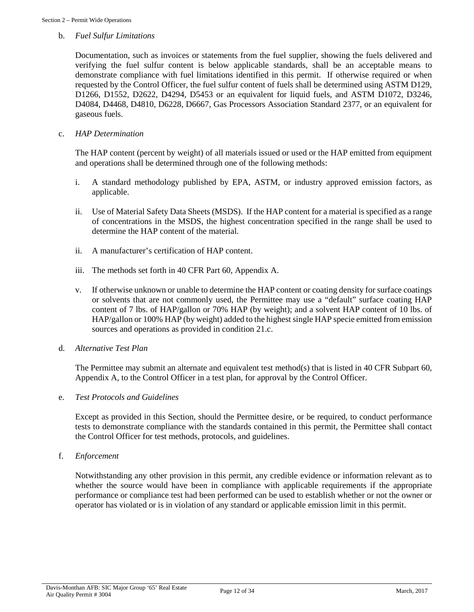#### b. *Fuel Sulfur Limitations*

Documentation, such as invoices or statements from the fuel supplier, showing the fuels delivered and verifying the fuel sulfur content is below applicable standards, shall be an acceptable means to demonstrate compliance with fuel limitations identified in this permit. If otherwise required or when requested by the Control Officer, the fuel sulfur content of fuels shall be determined using ASTM D129, D1266, D1552, D2622, D4294, D5453 or an equivalent for liquid fuels, and ASTM D1072, D3246, D4084, D4468, D4810, D6228, D6667, Gas Processors Association Standard 2377, or an equivalent for gaseous fuels.

#### c. *HAP Determination*

The HAP content (percent by weight) of all materials issued or used or the HAP emitted from equipment and operations shall be determined through one of the following methods:

- i. A standard methodology published by EPA, ASTM, or industry approved emission factors, as applicable.
- ii. Use of Material Safety Data Sheets (MSDS). If the HAP content for a material is specified as a range of concentrations in the MSDS, the highest concentration specified in the range shall be used to determine the HAP content of the material.
- ii. A manufacturer's certification of HAP content.
- iii. The methods set forth in 40 CFR Part 60, Appendix A.
- v. If otherwise unknown or unable to determine the HAP content or coating density for surface coatings or solvents that are not commonly used, the Permittee may use a "default" surface coating HAP content of 7 lbs. of HAP/gallon or 70% HAP (by weight); and a solvent HAP content of 10 lbs. of HAP/gallon or 100% HAP (by weight) added to the highest single HAP specie emitted from emission sources and operations as provided in condition 21.c.

#### d. *Alternative Test Plan*

The Permittee may submit an alternate and equivalent test method(s) that is listed in 40 CFR Subpart 60, Appendix A, to the Control Officer in a test plan, for approval by the Control Officer.

#### e. *Test Protocols and Guidelines*

Except as provided in this Section, should the Permittee desire, or be required, to conduct performance tests to demonstrate compliance with the standards contained in this permit, the Permittee shall contact the Control Officer for test methods, protocols, and guidelines.

f. *Enforcement*

Notwithstanding any other provision in this permit, any credible evidence or information relevant as to whether the source would have been in compliance with applicable requirements if the appropriate performance or compliance test had been performed can be used to establish whether or not the owner or operator has violated or is in violation of any standard or applicable emission limit in this permit.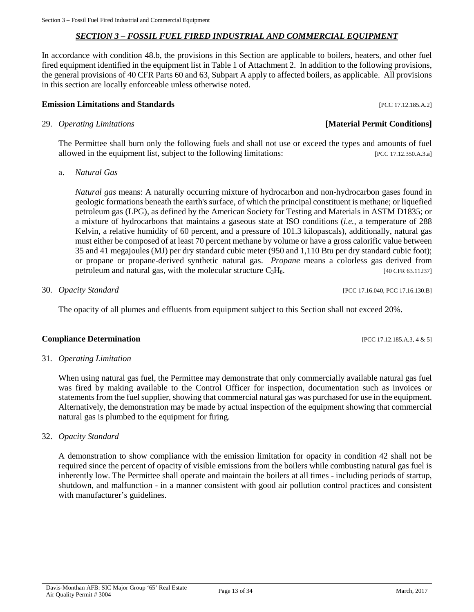# *SECTION 3 – FOSSIL FUEL FIRED INDUSTRIAL AND COMMERCIAL EQUIPMENT*

<span id="page-12-0"></span>In accordance with condition 48.b, the provisions in this Section are applicable to boilers, heaters, and other fuel fired equipment identified in the equipment list in Table 1 of Attachment 2. In addition to the following provisions, the general provisions of 40 CFR Parts 60 and 63, Subpart A apply to affected boilers, as applicable. All provisions in this section are locally enforceable unless otherwise noted.

#### **Emission Limitations and Standards Emission Limitations and Standards Executive Limitations and Standards Executive Limitations and Standards Executive Limitations and Standards**

The Permittee shall burn only the following fuels and shall not use or exceed the types and amounts of fuel allowed in the equipment list, subject to the following limitations: [PCC 17.12.350.A.3.a]

a. *Natural Gas*

*Natural gas* means: A naturally occurring mixture of hydrocarbon and non-hydrocarbon gases found in geologic formations beneath the earth's surface, of which the principal constituent is methane; or liquefied petroleum gas (LPG), as defined by the American Society for Testing and Materials in ASTM D1835; or a mixture of hydrocarbons that maintains a gaseous state at ISO conditions (*i.e.,* a temperature of 288 Kelvin, a relative humidity of 60 percent, and a pressure of 101.3 kilopascals), additionally, natural gas must either be composed of at least 70 percent methane by volume or have a gross calorific value between 35 and 41 megajoules (MJ) per dry standard cubic meter (950 and 1,110 Btu per dry standard cubic foot); or propane or propane-derived synthetic natural gas. *Propane* means a colorless gas derived from petroleum and natural gas, with the molecular structure C<sub>3</sub>H<sub>8</sub>. [40 CFR 63.11237]

30. *Opacity Standard* [PCC 17.16.040, PCC 17.16.130.B]

The opacity of all plumes and effluents from equipment subject to this Section shall not exceed 20%.

#### **Compliance Determination** [PCC 17.12.185.A.3, 4 & 5]

#### 31*. Operating Limitation*

When using natural gas fuel, the Permittee may demonstrate that only commercially available natural gas fuel was fired by making available to the Control Officer for inspection, documentation such as invoices or statements from the fuel supplier, showing that commercial natural gas was purchased for use in the equipment. Alternatively, the demonstration may be made by actual inspection of the equipment showing that commercial natural gas is plumbed to the equipment for firing.

32. *Opacity Standard*

A demonstration to show compliance with the emission limitation for opacity in condition 42 shall not be required since the percent of opacity of visible emissions from the boilers while combusting natural gas fuel is inherently low. The Permittee shall operate and maintain the boilers at all times - including periods of startup, shutdown, and malfunction - in a manner consistent with good air pollution control practices and consistent with manufacturer's guidelines.

29. *Operating Limitations* **[Material Permit Conditions]**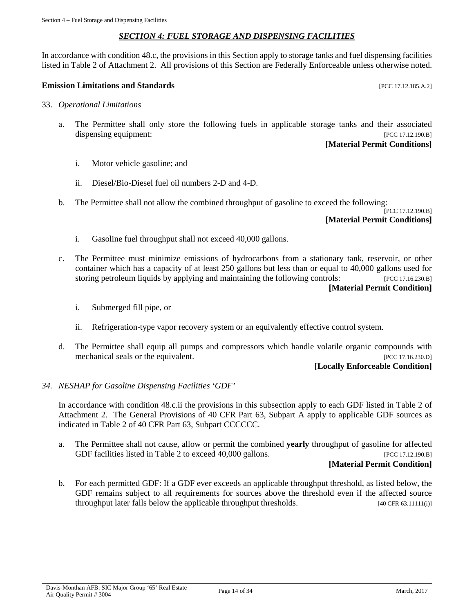#### *SECTION 4: FUEL STORAGE AND DISPENSING FACILITIES*

<span id="page-13-0"></span>In accordance with condition 48.c, the provisions in this Section apply to storage tanks and fuel dispensing facilities listed in Table 2 of Attachment 2. All provisions of this Section are Federally Enforceable unless otherwise noted.

#### **Emission Limitations and Standards** [PCC 17.12.185.A.2]

- 33. *Operational Limitations*
	- a. The Permittee shall only store the following fuels in applicable storage tanks and their associated dispensing equipment:  $[PCC 17.12.190.B]$

#### **[Material Permit Conditions]**

- i. Motor vehicle gasoline; and
- ii. Diesel/Bio-Diesel fuel oil numbers 2-D and 4-D.
- b. The Permittee shall not allow the combined throughput of gasoline to exceed the following:

#### [PCC 17.12.190.B] **[Material Permit Conditions]**

- i. Gasoline fuel throughput shall not exceed 40,000 gallons.
- c. The Permittee must minimize emissions of hydrocarbons from a stationary tank, reservoir, or other container which has a capacity of at least 250 gallons but less than or equal to 40,000 gallons used for storing petroleum liquids by applying and maintaining the following controls: [PCC 17.16.230.B] **[Material Permit Condition]**
	- i. Submerged fill pipe, or
	- ii. Refrigeration-type vapor recovery system or an equivalently effective control system.
- d. The Permittee shall equip all pumps and compressors which handle volatile organic compounds with mechanical seals or the equivalent. [PCC 17.16.230.D]

#### **[Locally Enforceable Condition]**

#### *34. NESHAP for Gasoline Dispensing Facilities 'GDF'*

In accordance with condition 48.c.ii the provisions in this subsection apply to each GDF listed in Table 2 of Attachment 2. The General Provisions of 40 CFR Part 63, Subpart A apply to applicable GDF sources as indicated in Table 2 of 40 CFR Part 63, Subpart CCCCCC.

a. The Permittee shall not cause, allow or permit the combined **yearly** throughput of gasoline for affected GDF facilities listed in Table 2 to exceed 40,000 gallons. [PCC 17.12.190.B]

#### **[Material Permit Condition]**

b. For each permitted GDF: If a GDF ever exceeds an applicable throughput threshold, as listed below, the GDF remains subject to all requirements for sources above the threshold even if the affected source throughput later falls below the applicable throughput thresholds. [40 CFR 63.11111(i)]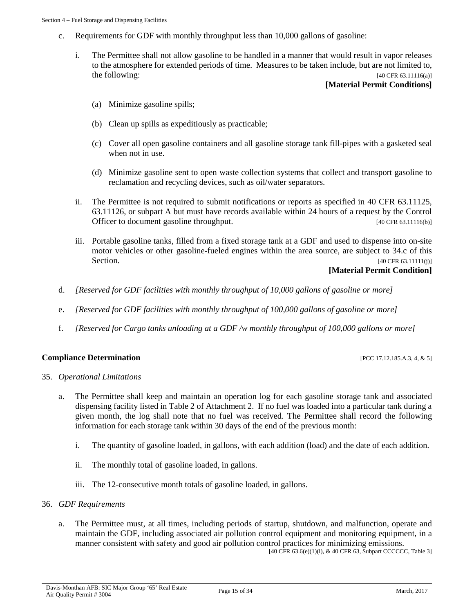- c. Requirements for GDF with monthly throughput less than 10,000 gallons of gasoline:
	- i. The Permittee shall not allow gasoline to be handled in a manner that would result in vapor releases to the atmosphere for extended periods of time. Measures to be taken include, but are not limited to, the following:  $[40 \text{ CFR } 63.11116(a)]$

#### **[Material Permit Conditions]**

- (a) Minimize gasoline spills;
- (b) Clean up spills as expeditiously as practicable;
- (c) Cover all open gasoline containers and all gasoline storage tank fill-pipes with a gasketed seal when not in use.
- (d) Minimize gasoline sent to open waste collection systems that collect and transport gasoline to reclamation and recycling devices, such as oil/water separators.
- ii. The Permittee is not required to submit notifications or reports as specified in 40 CFR 63.11125, 63.11126, or subpart A but must have records available within 24 hours of a request by the Control Officer to document gasoline throughput. [40 CFR 63.11116(b)]
- iii. Portable gasoline tanks, filled from a fixed storage tank at a GDF and used to dispense into on-site motor vehicles or other gasoline-fueled engines within the area source, are subject to 34.c of this Section. [40 CFR 63.11111(j)]

#### **[Material Permit Condition]**

- d. *[Reserved for GDF facilities with monthly throughput of 10,000 gallons of gasoline or more]*
- e. *[Reserved for GDF facilities with monthly throughput of 100,000 gallons of gasoline or more]*
- f. *[Reserved for Cargo tanks unloading at a GDF /w monthly throughput of 100,000 gallons or more]*

#### **Compliance Determination** [PCC 17.12.185.A.3, 4, & 5]

#### 35. *Operational Limitations*

- a. The Permittee shall keep and maintain an operation log for each gasoline storage tank and associated dispensing facility listed in Table 2 of Attachment 2. If no fuel was loaded into a particular tank during a given month, the log shall note that no fuel was received. The Permittee shall record the following information for each storage tank within 30 days of the end of the previous month:
	- i. The quantity of gasoline loaded, in gallons, with each addition (load) and the date of each addition.
	- ii. The monthly total of gasoline loaded, in gallons.
	- iii. The 12-consecutive month totals of gasoline loaded, in gallons.

#### 36. *GDF Requirements*

a. The Permittee must, at all times, including periods of startup, shutdown, and malfunction, operate and maintain the GDF, including associated air pollution control equipment and monitoring equipment, in a manner consistent with safety and good air pollution control practices for minimizing emissions.

[40 CFR 63.6(e)(1)(i), & 40 CFR 63, Subpart CCCCCC, Table 3]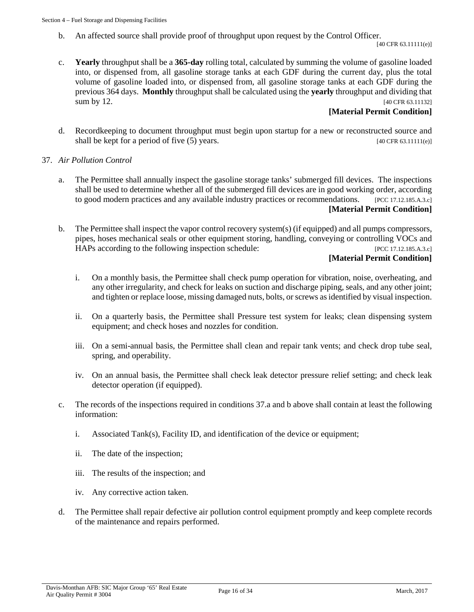b. An affected source shall provide proof of throughput upon request by the Control Officer.

[40 CFR 63.11111(e)]

c. **Yearly** throughput shall be a **365-day** rolling total, calculated by summing the volume of gasoline loaded into, or dispensed from, all gasoline storage tanks at each GDF during the current day, plus the total volume of gasoline loaded into, or dispensed from, all gasoline storage tanks at each GDF during the previous 364 days. **Monthly** throughput shall be calculated using the **yearly** throughput and dividing that sum by 12.  $[40 \text{ CFR } 63.11132]$ 

# **[Material Permit Condition]**

- d. Recordkeeping to document throughput must begin upon startup for a new or reconstructed source and shall be kept for a period of five (5) years. [40 CFR 63.11111(e)]
- 37. *Air Pollution Control*
	- a. The Permittee shall annually inspect the gasoline storage tanks' submerged fill devices. The inspections shall be used to determine whether all of the submerged fill devices are in good working order, according to good modern practices and any available industry practices or recommendations. [PCC 17.12.185.A.3.c] **[Material Permit Condition]**
	- b. The Permittee shall inspect the vapor control recovery system(s) (if equipped) and all pumps compressors, pipes, hoses mechanical seals or other equipment storing, handling, conveying or controlling VOCs and HAPs according to the following inspection schedule: [PCC 17.12.185.A.3.c]

# **[Material Permit Condition]**

- i. On a monthly basis, the Permittee shall check pump operation for vibration, noise, overheating, and any other irregularity, and check for leaks on suction and discharge piping, seals, and any other joint; and tighten or replace loose, missing damaged nuts, bolts, or screws as identified by visual inspection.
- ii. On a quarterly basis, the Permittee shall Pressure test system for leaks; clean dispensing system equipment; and check hoses and nozzles for condition.
- iii. On a semi-annual basis, the Permittee shall clean and repair tank vents; and check drop tube seal, spring, and operability.
- iv. On an annual basis, the Permittee shall check leak detector pressure relief setting; and check leak detector operation (if equipped).
- c. The records of the inspections required in conditions 37.a and b above shall contain at least the following information:
	- i. Associated Tank(s), Facility ID, and identification of the device or equipment;
	- ii. The date of the inspection;
	- iii. The results of the inspection; and
	- iv. Any corrective action taken.
- d. The Permittee shall repair defective air pollution control equipment promptly and keep complete records of the maintenance and repairs performed.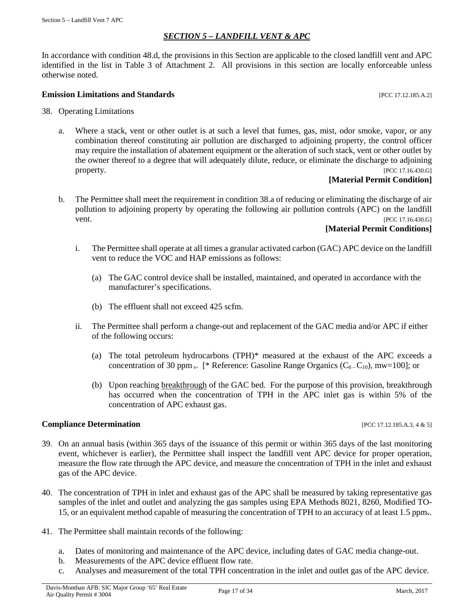# *SECTION 5 – LANDFILL VENT & APC*

<span id="page-16-0"></span>In accordance with condition 48.d, the provisions in this Section are applicable to the closed landfill vent and APC identified in the list in Table 3 of Attachment 2. All provisions in this section are locally enforceable unless otherwise noted.

#### **Emission Limitations and Standards Emission Limitations and Standards Exercíse 20 Exercíse 20 Exercíse 20 EXERC**

- 38. Operating Limitations
	- a. Where a stack, vent or other outlet is at such a level that fumes, gas, mist, odor smoke, vapor, or any combination thereof constituting air pollution are discharged to adjoining property, the control officer may require the installation of abatement equipment or the alteration of such stack, vent or other outlet by the owner thereof to a degree that will adequately dilute, reduce, or eliminate the discharge to adjoining property. [PCC 17.16.430.G]

#### **[Material Permit Condition]**

b. The Permittee shall meet the requirement in condition 38.a of reducing or eliminating the discharge of air pollution to adjoining property by operating the following air pollution controls (APC) on the landfill vent. [PCC 17.16.430.G]

#### **[Material Permit Conditions]**

- i. The Permittee shall operate at all times a granular activated carbon (GAC) APC device on the landfill vent to reduce the VOC and HAP emissions as follows:
	- (a) The GAC control device shall be installed, maintained, and operated in accordance with the manufacturer's specifications.
	- (b) The effluent shall not exceed 425 scfm.
- ii. The Permittee shall perform a change-out and replacement of the GAC media and/or APC if either of the following occurs:
	- (a) The total petroleum hydrocarbons (TPH)\* measured at the exhaust of the APC exceeds a concentration of 30 ppm<sub>y</sub>. [\* Reference: Gasoline Range Organics ( $C_6$ - $C_{10}$ ), mw=100]; or
	- (b) Upon reaching breakthrough of the GAC bed. For the purpose of this provision, breakthrough has occurred when the concentration of TPH in the APC inlet gas is within 5% of the concentration of APC exhaust gas.

#### **Compliance Determination** [PCC 17.12.185.A.3, 4 & 5]

- 39. On an annual basis (within 365 days of the issuance of this permit or within 365 days of the last monitoring event, whichever is earlier), the Permittee shall inspect the landfill vent APC device for proper operation, measure the flow rate through the APC device, and measure the concentration of TPH in the inlet and exhaust gas of the APC device.
- 40. The concentration of TPH in inlet and exhaust gas of the APC shall be measured by taking representative gas samples of the inlet and outlet and analyzing the gas samples using EPA Methods 8021, 8260, Modified TO-15, or an equivalent method capable of measuring the concentration of TPH to an accuracy of at least 1.5 ppmv.
- 41. The Permittee shall maintain records of the following:
	- a. Dates of monitoring and maintenance of the APC device, including dates of GAC media change-out.
	- b. Measurements of the APC device effluent flow rate.
	- c. Analyses and measurement of the total TPH concentration in the inlet and outlet gas of the APC device.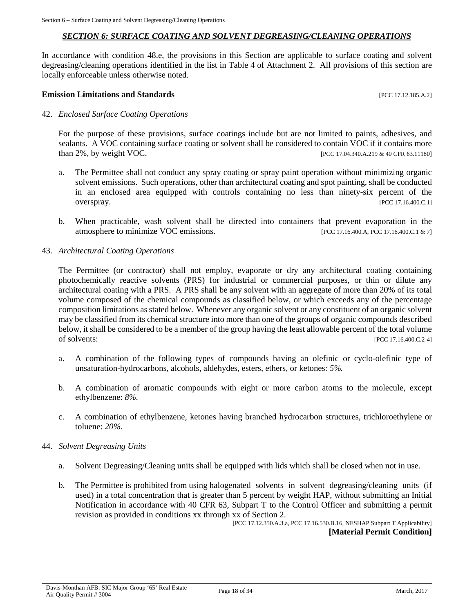### *SECTION 6: SURFACE COATING AND SOLVENT DEGREASING/CLEANING OPERATIONS*

<span id="page-17-0"></span>In accordance with condition 48.e, the provisions in this Section are applicable to surface coating and solvent degreasing/cleaning operations identified in the list in Table 4 of Attachment 2. All provisions of this section are locally enforceable unless otherwise noted.

#### **Emission Limitations and Standards Emission Limitations and Standards Exercíse 2016**

#### 42. *Enclosed Surface Coating Operations*

For the purpose of these provisions, surface coatings include but are not limited to paints, adhesives, and sealants. A VOC containing surface coating or solvent shall be considered to contain VOC if it contains more than 2%, by weight VOC. [PCC 17.04.340.A.219 & 40 CFR 63.11180]

- a. The Permittee shall not conduct any spray coating or spray paint operation without minimizing organic solvent emissions. Such operations, other than architectural coating and spot painting, shall be conducted in an enclosed area equipped with controls containing no less than ninety-six percent of the overspray. [PCC 17.16.400.C.1]
- b. When practicable, wash solvent shall be directed into containers that prevent evaporation in the atmosphere to minimize VOC emissions. [PCC 17.16.400.A, PCC 17.16.400.C.1 & 7]

#### 43. *Architectural Coating Operations*

The Permittee (or contractor) shall not employ, evaporate or dry any architectural coating containing photochemically reactive solvents (PRS) for industrial or commercial purposes, or thin or dilute any architectural coating with a PRS. A PRS shall be any solvent with an aggregate of more than 20% of its total volume composed of the chemical compounds as classified below, or which exceeds any of the percentage composition limitations as stated below. Whenever any organic solvent or any constituent of an organic solvent may be classified from its chemical structure into more than one of the groups of organic compounds described below, it shall be considered to be a member of the group having the least allowable percent of the total volume of solvents: [PCC 17.16.400.C.2-4]

- a. A combination of the following types of compounds having an olefinic or cyclo-olefinic type of unsaturation-hydrocarbons, alcohols, aldehydes, esters, ethers, or ketones: *5%.*
- b. A combination of aromatic compounds with eight or more carbon atoms to the molecule, except ethylbenzene: *8%*.
- c. A combination of ethylbenzene, ketones having branched hydrocarbon structures, trichloroethylene or toluene: *20%*.

#### 44. *Solvent Degreasing Units*

- a. Solvent Degreasing/Cleaning units shall be equipped with lids which shall be closed when not in use.
- b. The Permittee is prohibited from using halogenated solvents in solvent degreasing/cleaning units (if used) in a total concentration that is greater than 5 percent by weight HAP, without submitting an Initial Notification in accordance with 40 CFR 63, Subpart T to the Control Officer and submitting a permit revision as provided in conditions xx through xx of Section 2.

[PCC 17.12.350.A.3.a, PCC 17.16.530.B.16, NESHAP Subpart T Applicability] **[Material Permit Condition]**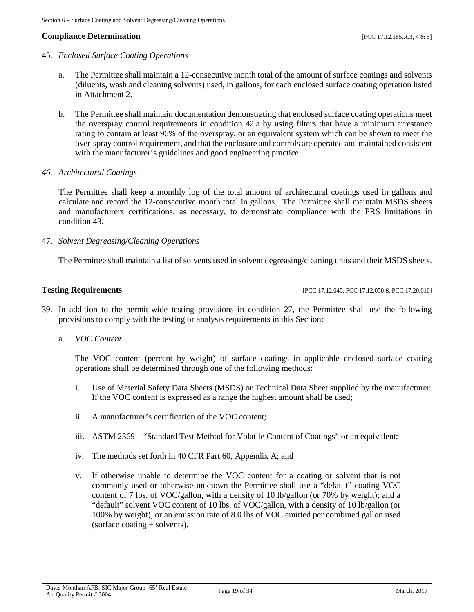### **Compliance Determination** [PCC 17.12.185.A.3, 4 & 5]

#### 45. *Enclosed Surface Coating Operations*

- a. The Permittee shall maintain a 12-consecutive month total of the amount of surface coatings and solvents (diluents, wash and cleaning solvents) used, in gallons, for each enclosed surface coating operation listed in Attachment 2.
- b. The Permittee shall maintain documentation demonstrating that enclosed surface coating operations meet the overspray control requirements in condition 42.a by using filters that have a minimum arrestance rating to contain at least 96% of the overspray, or an equivalent system which can be shown to meet the over-spray control requirement, and that the enclosure and controls are operated and maintained consistent with the manufacturer's guidelines and good engineering practice.
- *46. Architectural Coatings*

The Permittee shall keep a monthly log of the total amount of architectural coatings used in gallons and calculate and record the 12-consecutive month total in gallons. The Permittee shall maintain MSDS sheets and manufacturers certifications, as necessary, to demonstrate compliance with the PRS limitations in condition 43.

47. *Solvent Degreasing/Cleaning Operations*

The Permittee shall maintain a list of solvents used in solvent degreasing/cleaning units and their MSDS sheets.

**Testing Requirements [PCC 17.12.045, PCC 17.12.050 & PCC 17.20.010]** 

- 39. In addition to the permit-wide testing provisions in condition 27, the Permittee shall use the following provisions to comply with the testing or analysis requirements in this Section:
	- a. *VOC Content*

The VOC content (percent by weight) of surface coatings in applicable enclosed surface coating operations shall be determined through one of the following methods:

- i. Use of Material Safety Data Sheets (MSDS) or Technical Data Sheet supplied by the manufacturer. If the VOC content is expressed as a range the highest amount shall be used;
- ii. A manufacturer's certification of the VOC content;
- iii. ASTM 2369 "Standard Test Method for Volatile Content of Coatings" or an equivalent;
- iv. The methods set forth in 40 CFR Part 60, Appendix A; and
- v. If otherwise unable to determine the VOC content for a coating or solvent that is not commonly used or otherwise unknown the Permittee shall use a "default" coating VOC content of 7 lbs. of VOC/gallon, with a density of 10 lb/gallon (or 70% by weight); and a "default" solvent VOC content of 10 lbs. of VOC/gallon, with a density of 10 lb/gallon (or 100% by weight), or an emission rate of 8.0 lbs of VOC emitted per combined gallon used (surface coating + solvents).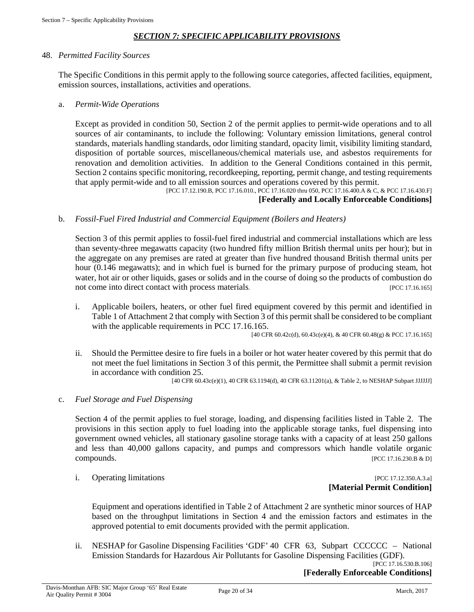# *SECTION 7: SPECIFIC APPLICABILITY PROVISIONS*

#### <span id="page-19-0"></span>48. *Permitted Facility Sources*

The Specific Conditions in this permit apply to the following source categories, affected facilities, equipment, emission sources, installations, activities and operations.

#### a. *Permit-Wide Operations*

Except as provided in condition 50, Section 2 of the permit applies to permit-wide operations and to all sources of air contaminants, to include the following: Voluntary emission limitations, general control standards, materials handling standards, odor limiting standard, opacity limit, visibility limiting standard, disposition of portable sources, miscellaneous/chemical materials use, and asbestos requirements for renovation and demolition activities. In addition to the General Conditions contained in this permit, Section 2 contains specific monitoring, recordkeeping, reporting, permit change, and testing requirements that apply permit-wide and to all emission sources and operations covered by this permit.

[PCC 17.12.190.B, PCC 17.16.010., PCC 17.16.020 thru 050, PCC 17.16.400.A & C, & PCC 17.16.430.F]

# **[Federally and Locally Enforceable Conditions]**

#### b. *Fossil-Fuel Fired Industrial and Commercial Equipment (Boilers and Heaters)*

Section 3 of this permit applies to fossil-fuel fired industrial and commercial installations which are less than seventy-three megawatts capacity (two hundred fifty million British thermal units per hour); but in the aggregate on any premises are rated at greater than five hundred thousand British thermal units per hour (0.146 megawatts); and in which fuel is burned for the primary purpose of producing steam, hot water, hot air or other liquids, gases or solids and in the course of doing so the products of combustion do not come into direct contact with process materials. [PCC 17.16.165]

i. Applicable boilers, heaters, or other fuel fired equipment covered by this permit and identified in Table 1 of Attachment 2 that comply with Section 3 of this permit shall be considered to be compliant with the applicable requirements in PCC 17.16.165.

[40 CFR 60.42c(d), 60.43c(e)(4), & 40 CFR 60.48(g) & PCC 17.16.165]

ii. Should the Permittee desire to fire fuels in a boiler or hot water heater covered by this permit that do not meet the fuel limitations in Section 3 of this permit, the Permittee shall submit a permit revision in accordance with condition 25.

[40 CFR 60.43c(e)(1), 40 CFR 63.1194(d), 40 CFR 63.11201(a), & Table 2, to NESHAP Subpart JJJJJJ]

#### c. *Fuel Storage and Fuel Dispensing*

Section 4 of the permit applies to fuel storage, loading, and dispensing facilities listed in Table 2. The provisions in this section apply to fuel loading into the applicable storage tanks, fuel dispensing into government owned vehicles, all stationary gasoline storage tanks with a capacity of at least 250 gallons and less than 40,000 gallons capacity, and pumps and compressors which handle volatile organic compounds. [PCC 17.16.230.B & D]

### i. Operating limitations [PCC 17.12.350.A.3.a] **[Material Permit Condition]**

Equipment and operations identified in Table 2 of Attachment 2 are synthetic minor sources of HAP based on the throughput limitations in Section 4 and the emission factors and estimates in the approved potential to emit documents provided with the permit application.

ii. NESHAP for Gasoline Dispensing Facilities 'GDF' 40 CFR 63, Subpart CCCCCC – National Emission Standards for Hazardous Air Pollutants for Gasoline Dispensing Facilities (GDF).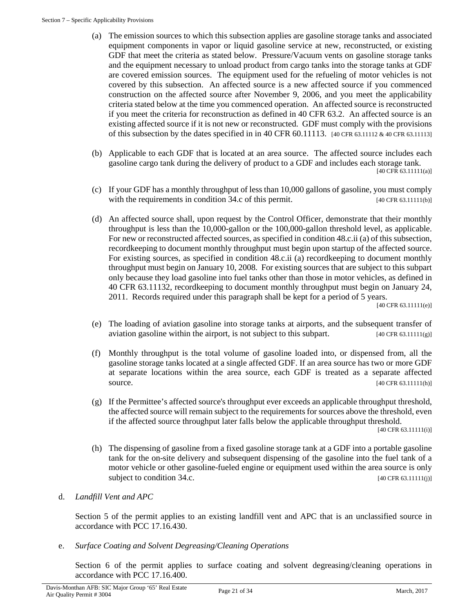- (a) The emission sources to which this subsection applies are gasoline storage tanks and associated equipment components in vapor or liquid gasoline service at new, reconstructed, or existing GDF that meet the criteria as stated below. Pressure/Vacuum vents on gasoline storage tanks and the equipment necessary to unload product from cargo tanks into the storage tanks at GDF are covered emission sources. The equipment used for the refueling of motor vehicles is not covered by this subsection. An affected source is a new affected source if you commenced construction on the affected source after November 9, 2006, and you meet the applicability criteria stated below at the time you commenced operation. An affected source is reconstructed if you meet the criteria for reconstruction as defined in 40 CFR 63.2. An affected source is an existing affected source if it is not new or reconstructed. GDF must comply with the provisions of this subsection by the dates specified in in 40 CFR 60.11113. [40 CFR 63.11112 & 40 CFR 63.11113]
- (b) Applicable to each GDF that is located at an area source. The affected source includes each gasoline cargo tank during the delivery of product to a GDF and includes each storage tank. [40 CFR 63.11111(a)]
- (c) If your GDF has a monthly throughput of less than 10,000 gallons of gasoline, you must comply with the requirements in condition  $34.c$  of this permit. [40 CFR 63.11111(b)]
- (d) An affected source shall, upon request by the Control Officer, demonstrate that their monthly throughput is less than the 10,000-gallon or the 100,000-gallon threshold level, as applicable. For new or reconstructed affected sources, as specified in condition 48.c.ii (a) of this subsection, recordkeeping to document monthly throughput must begin upon startup of the affected source. For existing sources, as specified in condition 48.c.ii (a) recordkeeping to document monthly throughput must begin on January 10, 2008. For existing sources that are subject to this subpart only because they load gasoline into fuel tanks other than those in motor vehicles, as defined in 40 CFR 63.11132, recordkeeping to document monthly throughput must begin on January 24, 2011. Records required under this paragraph shall be kept for a period of 5 years.

[40 CFR 63.11111(e)]

- (e) The loading of aviation gasoline into storage tanks at airports, and the subsequent transfer of aviation gasoline within the airport, is not subject to this subpart. [40 CFR 63.11111(g)]
- (f) Monthly throughput is the total volume of gasoline loaded into, or dispensed from, all the gasoline storage tanks located at a single affected GDF. If an area source has two or more GDF at separate locations within the area source, each GDF is treated as a separate affected source. [40 CFR 63.11111(h)]
- (g) If the Permittee's affected source's throughput ever exceeds an applicable throughput threshold, the affected source will remain subject to the requirements for sources above the threshold, even if the affected source throughput later falls below the applicable throughput threshold.

[40 CFR 63.11111(i)]

(h) The dispensing of gasoline from a fixed gasoline storage tank at a GDF into a portable gasoline tank for the on-site delivery and subsequent dispensing of the gasoline into the fuel tank of a motor vehicle or other gasoline-fueled engine or equipment used within the area source is only subject to condition 34.c. [40 CFR 63.11111(j)]

# d. *Landfill Vent and APC*

Section 5 of the permit applies to an existing landfill vent and APC that is an unclassified source in accordance with PCC 17.16.430.

e. *Surface Coating and Solvent Degreasing/Cleaning Operations*

Section 6 of the permit applies to surface coating and solvent degreasing/cleaning operations in accordance with PCC 17.16.400.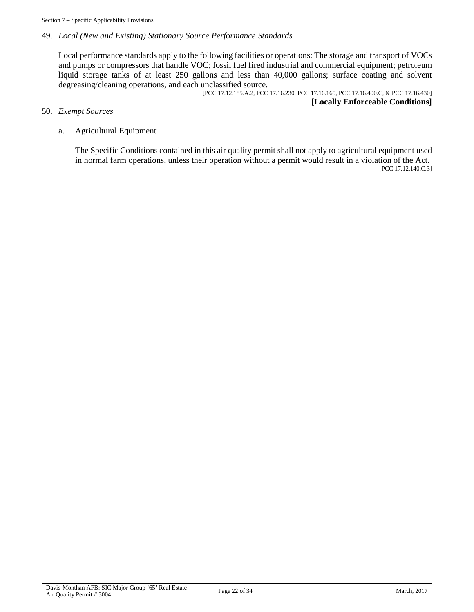### 49. *Local (New and Existing) Stationary Source Performance Standards*

Local performance standards apply to the following facilities or operations: The storage and transport of VOCs and pumps or compressors that handle VOC; fossil fuel fired industrial and commercial equipment; petroleum liquid storage tanks of at least 250 gallons and less than 40,000 gallons; surface coating and solvent degreasing/cleaning operations, and each unclassified source.

[PCC 17.12.185.A.2, PCC 17.16.230, PCC 17.16.165, PCC 17.16.400.C, & PCC 17.16.430] **[Locally Enforceable Conditions]**

#### 50. *Exempt Sources*

#### a. Agricultural Equipment

The Specific Conditions contained in this air quality permit shall not apply to agricultural equipment used in normal farm operations, unless their operation without a permit would result in a violation of the Act. [PCC 17.12.140.C.3]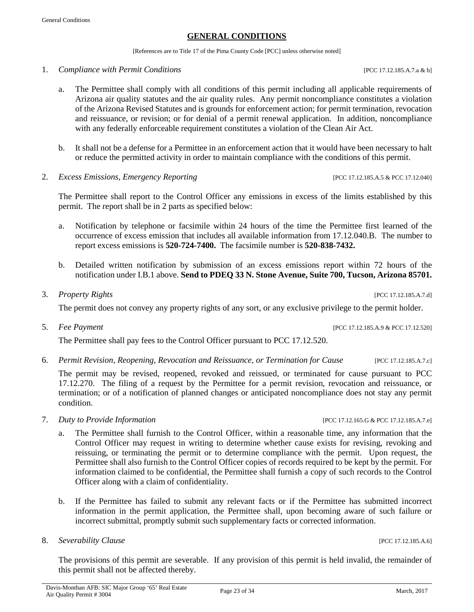### **GENERAL CONDITIONS**

[References are to Title 17 of the Pima County Code [PCC] unless otherwise noted]

#### <span id="page-22-0"></span>1. *Compliance with Permit Conditions* [PCC 17.12.185.A.7.a & b]

- a. The Permittee shall comply with all conditions of this permit including all applicable requirements of Arizona air quality statutes and the air quality rules. Any permit noncompliance constitutes a violation of the Arizona Revised Statutes and is grounds for enforcement action; for permit termination, revocation and reissuance, or revision; or for denial of a permit renewal application. In addition, noncompliance with any federally enforceable requirement constitutes a violation of the Clean Air Act.
- b. It shall not be a defense for a Permittee in an enforcement action that it would have been necessary to halt or reduce the permitted activity in order to maintain compliance with the conditions of this permit.
- 2. *Excess Emissions, Emergency Reporting* [PCC 17.12.185.A.5 & PCC 17.12.040]

The Permittee shall report to the Control Officer any emissions in excess of the limits established by this permit. The report shall be in 2 parts as specified below:

- a. Notification by telephone or facsimile within 24 hours of the time the Permittee first learned of the occurrence of excess emission that includes all available information from 17.12.040.B. The number to report excess emissions is **520-724-7400.** The facsimile number is **520-838-7432.**
- b. Detailed written notification by submission of an excess emissions report within 72 hours of the notification under I.B.1 above. **Send to PDEQ 33 N. Stone Avenue, Suite 700, Tucson, Arizona 85701.**
- 3. *Property Rights* [PCC 17.12.185.A.7.d]

The permit does not convey any property rights of any sort, or any exclusive privilege to the permit holder.

5. *Fee Payment* [PCC 17.12.185.A.9 & PCC 17.12.520]

The Permittee shall pay fees to the Control Officer pursuant to PCC 17.12.520.

6. *Permit Revision, Reopening, Revocation and Reissuance, or Termination for Cause* [PCC 17.12.185.A.7.c]

The permit may be revised, reopened, revoked and reissued, or terminated for cause pursuant to PCC 17.12.270. The filing of a request by the Permittee for a permit revision, revocation and reissuance, or termination; or of a notification of planned changes or anticipated noncompliance does not stay any permit condition.

- 7. *Duty to Provide Information* [PCC 17.12.165.G & PCC 17.12.185.A.7.e]
	- a. The Permittee shall furnish to the Control Officer, within a reasonable time, any information that the Control Officer may request in writing to determine whether cause exists for revising, revoking and reissuing, or terminating the permit or to determine compliance with the permit. Upon request, the Permittee shall also furnish to the Control Officer copies of records required to be kept by the permit. For information claimed to be confidential, the Permittee shall furnish a copy of such records to the Control Officer along with a claim of confidentiality.
	- b. If the Permittee has failed to submit any relevant facts or if the Permittee has submitted incorrect information in the permit application, the Permittee shall, upon becoming aware of such failure or incorrect submittal, promptly submit such supplementary facts or corrected information.
- 8. *Severability Clause Severability Clause Severability Clause Severability Clause PCC 17.12.185.A.6]*

The provisions of this permit are severable. If any provision of this permit is held invalid, the remainder of this permit shall not be affected thereby.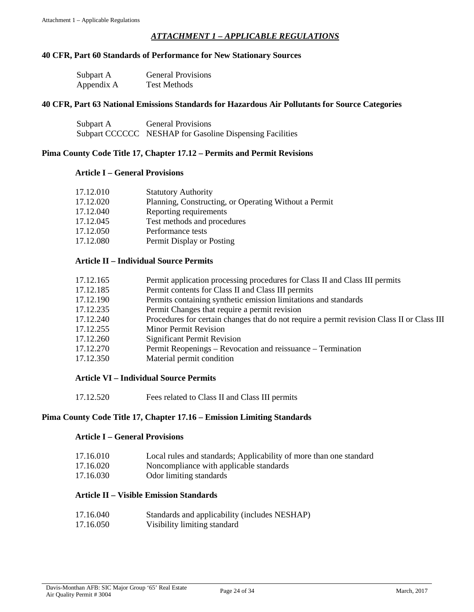# *ATTACHMENT 1 – APPLICABLE REGULATIONS*

#### <span id="page-23-0"></span>**40 CFR, Part 60 Standards of Performance for New Stationary Sources**

| Subpart A  | <b>General Provisions</b> |
|------------|---------------------------|
| Appendix A | <b>Test Methods</b>       |

#### **40 CFR, Part 63 National Emissions Standards for Hazardous Air Pollutants for Source Categories**

| Subpart A | <b>General Provisions</b>                                |
|-----------|----------------------------------------------------------|
|           | Subpart CCCCCC NESHAP for Gasoline Dispensing Facilities |

#### **Pima County Code Title 17, Chapter 17.12 – Permits and Permit Revisions**

#### **Article I – General Provisions**

| 17.12.010 | <b>Statutory Authority</b>                            |
|-----------|-------------------------------------------------------|
| 17.12.020 | Planning, Constructing, or Operating Without a Permit |
| 17.12.040 | Reporting requirements                                |
| 17.12.045 | Test methods and procedures                           |
| 17.12.050 | Performance tests                                     |
| 17.12.080 | Permit Display or Posting                             |
|           |                                                       |

### **Article II – Individual Source Permits**

| 17.12.165 | Permit application processing procedures for Class II and Class III permits                |
|-----------|--------------------------------------------------------------------------------------------|
| 17.12.185 | Permit contents for Class II and Class III permits                                         |
| 17.12.190 | Permits containing synthetic emission limitations and standards                            |
| 17.12.235 | Permit Changes that require a permit revision                                              |
| 17.12.240 | Procedures for certain changes that do not require a permit revision Class II or Class III |
| 17.12.255 | <b>Minor Permit Revision</b>                                                               |
| 17.12.260 | <b>Significant Permit Revision</b>                                                         |
| 17.12.270 | Permit Reopenings – Revocation and reissuance – Termination                                |
| 17.12.350 | Material permit condition                                                                  |

#### **Article VI – Individual Source Permits**

17.12.520 Fees related to Class II and Class III permits

#### **Pima County Code Title 17, Chapter 17.16 – Emission Limiting Standards**

#### **Article I – General Provisions**

| 17.16.010 | Local rules and standards; Applicability of more than one standard |  |
|-----------|--------------------------------------------------------------------|--|
|           |                                                                    |  |

- 17.16.020 Noncompliance with applicable standards
- 17.16.030 Odor limiting standards

# **Article II – Visible Emission Standards**

17.16.040 Standards and applicability (includes NESHAP) 17.16.050 Visibility limiting standard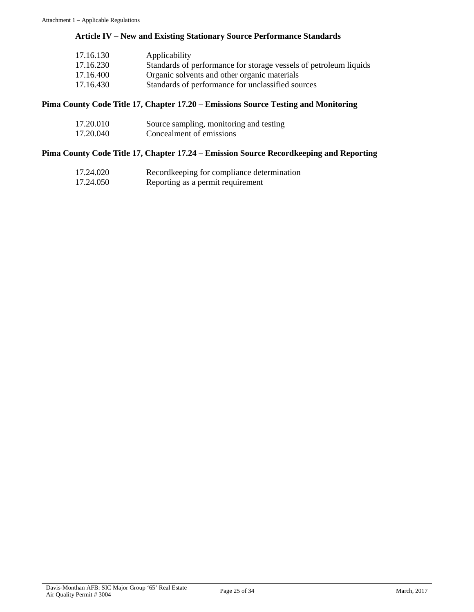# **Article IV – New and Existing Stationary Source Performance Standards**

| 17.16.130 | Applicability                                                     |
|-----------|-------------------------------------------------------------------|
| 17.16.230 | Standards of performance for storage vessels of petroleum liquids |
| 17.16.400 | Organic solvents and other organic materials                      |
| 17.16.430 | Standards of performance for unclassified sources                 |

### **Pima County Code Title 17, Chapter 17.20 – Emissions Source Testing and Monitoring**

| 17.20.010 | Source sampling, monitoring and testing |
|-----------|-----------------------------------------|
| 17.20.040 | Concealment of emissions                |

# **Pima County Code Title 17, Chapter 17.24 – Emission Source Recordkeeping and Reporting**

| 17.24.020 | Record keeping for compliance determination |
|-----------|---------------------------------------------|
| 17.24.050 | Reporting as a permit requirement           |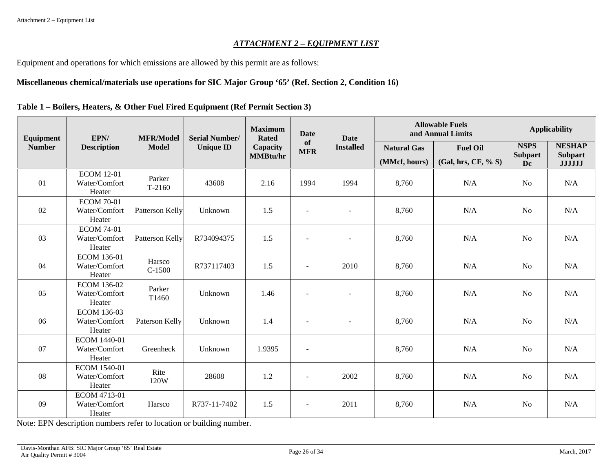#### *ATTACHMENT 2 – EQUIPMENT LIST*

Equipment and operations for which emissions are allowed by this permit are as follows:

# **Miscellaneous chemical/materials use operations for SIC Major Group '65' (Ref. Section 2, Condition 16)**

<span id="page-25-0"></span>

| Equipment     | EPN/                                          | <b>MFR/Model</b>   | <b>Serial Number/</b> | <b>Maximum</b>  | <b>Date</b><br><b>Rated</b><br>of<br>Capacity<br><b>MFR</b> |                          | <b>Date</b>         |                      |                                 | <b>Allowable Fuels</b><br>and Annual Limits | <b>Applicability</b> |  |
|---------------|-----------------------------------------------|--------------------|-----------------------|-----------------|-------------------------------------------------------------|--------------------------|---------------------|----------------------|---------------------------------|---------------------------------------------|----------------------|--|
| <b>Number</b> | <b>Description</b>                            | <b>Model</b>       | <b>Unique ID</b>      |                 |                                                             |                          | <b>Natural Gas</b>  | <b>Fuel Oil</b>      | <b>NSPS</b>                     | <b>NESHAP</b>                               |                      |  |
|               |                                               |                    |                       | <b>MMBtu/hr</b> |                                                             | (MMcf, hours)            | (Gal, hrs, CF, % S) | <b>Subpart</b><br>Dc | <b>Subpart</b><br><b>JJJJJJ</b> |                                             |                      |  |
| 01            | <b>ECOM 12-01</b><br>Water/Comfort<br>Heater  | Parker<br>$T-2160$ | 43608                 | 2.16            | 1994                                                        | 1994                     | 8,760               | N/A                  | N <sub>o</sub>                  | N/A                                         |                      |  |
| 02            | <b>ECOM 70-01</b><br>Water/Comfort<br>Heater  | Patterson Kelly    | Unknown               | 1.5             | L,                                                          | $\overline{a}$           | 8,760               | N/A                  | N <sub>o</sub>                  | N/A                                         |                      |  |
| 03            | <b>ECOM 74-01</b><br>Water/Comfort<br>Heater  | Patterson Kelly    | R734094375            | 1.5             | $\overline{\phantom{a}}$                                    | $\overline{\phantom{a}}$ | 8,760               | N/A                  | N <sub>o</sub>                  | N/A                                         |                      |  |
| 04            | <b>ECOM 136-01</b><br>Water/Comfort<br>Heater | Harsco<br>$C-1500$ | R737117403            | 1.5             | $\overline{a}$                                              | 2010                     | 8,760               | N/A                  | N <sub>o</sub>                  | N/A                                         |                      |  |
| 05            | <b>ECOM 136-02</b><br>Water/Comfort<br>Heater | Parker<br>T1460    | Unknown               | 1.46            | $\blacksquare$                                              |                          | 8,760               | N/A                  | N <sub>o</sub>                  | N/A                                         |                      |  |
| 06            | <b>ECOM 136-03</b><br>Water/Comfort<br>Heater | Paterson Kelly     | Unknown               | 1.4             | $\overline{a}$                                              | $\blacksquare$           | 8,760               | N/A                  | N <sub>o</sub>                  | N/A                                         |                      |  |
| 07            | ECOM 1440-01<br>Water/Comfort<br>Heater       | Greenheck          | Unknown               | 1.9395          | ÷,                                                          |                          | 8,760               | N/A                  | N <sub>o</sub>                  | N/A                                         |                      |  |
| 08            | ECOM 1540-01<br>Water/Comfort<br>Heater       | Rite<br>120W       | 28608                 | 1.2             | ÷,                                                          | 2002                     | 8,760               | N/A                  | N <sub>o</sub>                  | N/A                                         |                      |  |
| 09            | ECOM 4713-01<br>Water/Comfort<br>Heater       | Harsco             | R737-11-7402          | 1.5             | $\overline{\phantom{a}}$                                    | 2011                     | 8,760               | N/A                  | N <sub>o</sub>                  | N/A                                         |                      |  |

**Table 1 – Boilers, Heaters, & Other Fuel Fired Equipment (Ref Permit Section 3)**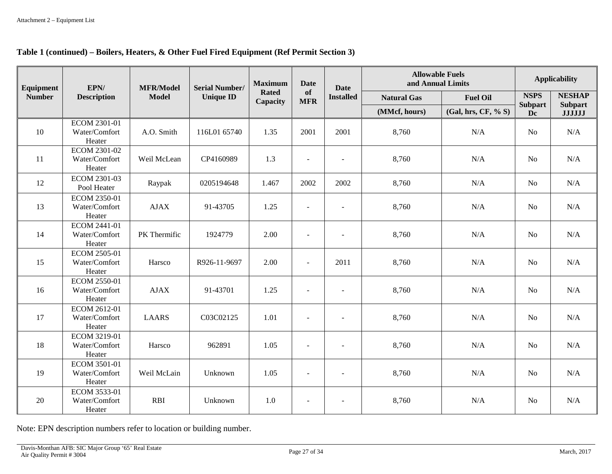# **Table 1 (continued) – Boilers, Heaters, & Other Fuel Fired Equipment (Ref Permit Section 3)**

| Equipment     | EPN/                                           | <b>MFR/Model</b> | <b>Serial Number/</b> | <b>Maximum</b>           | <b>Date</b><br><b>Date</b> |                          | <b>Allowable Fuels</b><br>and Annual Limits |                     | <b>Applicability</b> |                                 |
|---------------|------------------------------------------------|------------------|-----------------------|--------------------------|----------------------------|--------------------------|---------------------------------------------|---------------------|----------------------|---------------------------------|
| <b>Number</b> | <b>Description</b>                             | <b>Model</b>     | <b>Unique ID</b>      | <b>Rated</b><br>Capacity | <b>of</b><br><b>MFR</b>    | <b>Installed</b>         | <b>Natural Gas</b>                          | <b>Fuel Oil</b>     | <b>NSPS</b>          | <b>NESHAP</b><br><b>Subpart</b> |
|               |                                                |                  |                       |                          |                            |                          | (MMcf, hours)                               | (Gal, hrs, CF, % S) | <b>Subpart</b><br>Dc | <b>JJJJJJ</b>                   |
| 10            | ECOM 2301-01<br>Water/Comfort<br>Heater        | A.O. Smith       | 116L01 65740          | 1.35                     | 2001                       | 2001                     | 8,760                                       | N/A                 | N <sub>o</sub>       | N/A                             |
| 11            | ECOM 2301-02<br>Water/Comfort<br>Heater        | Weil McLean      | CP4160989             | 1.3                      | $\overline{a}$             | L,                       | 8,760                                       | N/A                 | N <sub>o</sub>       | N/A                             |
| 12            | ECOM 2301-03<br>Pool Heater                    | Raypak           | 0205194648            | 1.467                    | 2002                       | 2002                     | 8,760                                       | N/A                 | No                   | N/A                             |
| 13            | <b>ECOM 2350-01</b><br>Water/Comfort<br>Heater | <b>AJAX</b>      | 91-43705              | 1.25                     | $\overline{a}$             | $\blacksquare$           | 8,760                                       | N/A                 | N <sub>o</sub>       | N/A                             |
| 14            | ECOM 2441-01<br>Water/Comfort<br>Heater        | PK Thermific     | 1924779               | 2.00                     | $\overline{a}$             | $\overline{\phantom{a}}$ | 8,760                                       | N/A                 | N <sub>o</sub>       | N/A                             |
| 15            | ECOM 2505-01<br>Water/Comfort<br>Heater        | Harsco           | R926-11-9697          | 2.00                     | $\overline{a}$             | 2011                     | 8,760                                       | N/A                 | N <sub>o</sub>       | N/A                             |
| 16            | <b>ECOM 2550-01</b><br>Water/Comfort<br>Heater | <b>AJAX</b>      | 91-43701              | 1.25                     | $\blacksquare$             | $\blacksquare$           | 8,760                                       | N/A                 | N <sub>o</sub>       | N/A                             |
| 17            | ECOM 2612-01<br>Water/Comfort<br>Heater        | <b>LAARS</b>     | C03C02125             | 1.01                     | $\overline{\phantom{a}}$   | $\overline{\phantom{0}}$ | 8,760                                       | N/A                 | N <sub>o</sub>       | N/A                             |
| 18            | ECOM 3219-01<br>Water/Comfort<br>Heater        | Harsco           | 962891                | 1.05                     | $\overline{a}$             | $\sim$                   | 8,760                                       | N/A                 | N <sub>o</sub>       | N/A                             |
| 19            | ECOM 3501-01<br>Water/Comfort<br>Heater        | Weil McLain      | Unknown               | 1.05                     | $\sim$                     | ÷                        | 8,760                                       | N/A                 | N <sub>o</sub>       | N/A                             |
| 20            | ECOM 3533-01<br>Water/Comfort<br>Heater        | <b>RBI</b>       | Unknown               | 1.0                      | ÷,                         | $\blacksquare$           | 8,760                                       | N/A                 | N <sub>o</sub>       | N/A                             |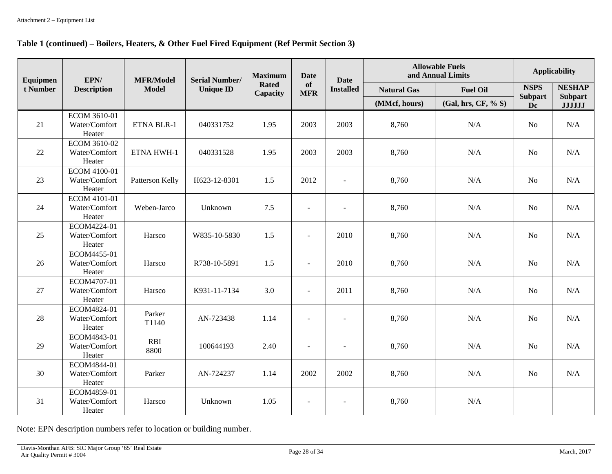#### **Table 1 (continued) – Boilers, Heaters, & Other Fuel Fired Equipment (Ref Permit Section 3)**

| Equipmen | EPN/                                    | <b>MFR/Model</b>   | <b>Serial Number/</b> | <b>Maximum</b><br><b>Date</b><br><b>Date</b> |                          |                  |                    | <b>Allowable Fuels</b><br>and Annual Limits | <b>Applicability</b> |                                 |
|----------|-----------------------------------------|--------------------|-----------------------|----------------------------------------------|--------------------------|------------------|--------------------|---------------------------------------------|----------------------|---------------------------------|
| t Number | <b>Description</b>                      | <b>Model</b>       | <b>Unique ID</b>      | <b>Rated</b><br>Capacity                     | of<br><b>MFR</b>         | <b>Installed</b> | <b>Natural Gas</b> | <b>Fuel Oil</b>                             | <b>NSPS</b>          | <b>NESHAP</b>                   |
|          |                                         |                    |                       |                                              |                          |                  | (MMcf, hours)      | (Gal, hrs, CF, % S)                         | <b>Subpart</b><br>Dc | <b>Subpart</b><br><b>JJJJJJ</b> |
| 21       | ECOM 3610-01<br>Water/Comfort<br>Heater | ETNA BLR-1         | 040331752             | 1.95                                         | 2003                     | 2003             | 8,760              | N/A                                         | <b>No</b>            | N/A                             |
| 22       | ECOM 3610-02<br>Water/Comfort<br>Heater | ETNA HWH-1         | 040331528             | 1.95                                         | 2003                     | 2003             | 8,760              | N/A                                         | N <sub>o</sub>       | N/A                             |
| 23       | ECOM 4100-01<br>Water/Comfort<br>Heater | Patterson Kelly    | H623-12-8301          | 1.5                                          | 2012                     | $\blacksquare$   | 8,760              | N/A                                         | N <sub>0</sub>       | N/A                             |
| 24       | ECOM 4101-01<br>Water/Comfort<br>Heater | Weben-Jarco        | Unknown               | 7.5                                          | $\blacksquare$           | $\sim$           | 8,760              | N/A                                         | N <sub>o</sub>       | N/A                             |
| 25       | ECOM4224-01<br>Water/Comfort<br>Heater  | Harsco             | W835-10-5830          | 1.5                                          | $\overline{a}$           | 2010             | 8,760              | N/A                                         | No                   | N/A                             |
| 26       | ECOM4455-01<br>Water/Comfort<br>Heater  | Harsco             | R738-10-5891          | 1.5                                          | $\overline{\phantom{a}}$ | 2010             | 8,760              | N/A                                         | <b>No</b>            | N/A                             |
| 27       | ECOM4707-01<br>Water/Comfort<br>Heater  | Harsco             | K931-11-7134          | 3.0                                          | $\overline{\phantom{a}}$ | 2011             | 8,760              | N/A                                         | N <sub>o</sub>       | N/A                             |
| 28       | ECOM4824-01<br>Water/Comfort<br>Heater  | Parker<br>T1140    | AN-723438             | 1.14                                         | $\overline{\phantom{a}}$ |                  | 8,760              | N/A                                         | N <sub>o</sub>       | N/A                             |
| 29       | ECOM4843-01<br>Water/Comfort<br>Heater  | <b>RBI</b><br>8800 | 100644193             | 2.40                                         | $\overline{\phantom{a}}$ | $\sim$           | 8,760              | N/A                                         | N <sub>o</sub>       | N/A                             |
| 30       | ECOM4844-01<br>Water/Comfort<br>Heater  | Parker             | AN-724237             | 1.14                                         | 2002                     | 2002             | 8,760              | N/A                                         | No                   | N/A                             |
| 31       | ECOM4859-01<br>Water/Comfort<br>Heater  | Harsco             | Unknown               | 1.05                                         |                          |                  | 8,760              | N/A                                         |                      |                                 |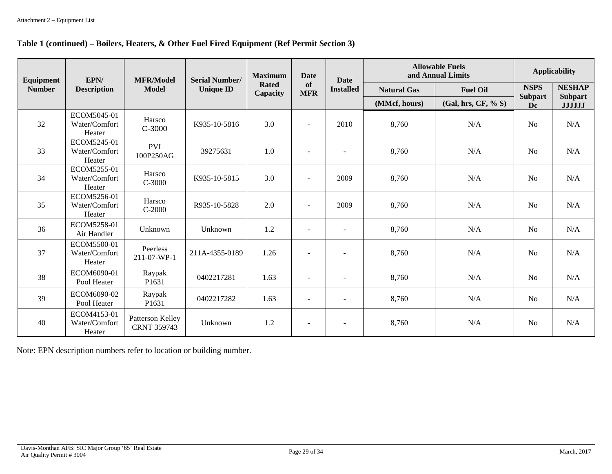#### **Table 1 (continued) – Boilers, Heaters, & Other Fuel Fired Equipment (Ref Permit Section 3)**

| Equipment     | EPN/                                   | <b>MFR/Model</b>                       | <b>Serial Number/</b> | <b>Maximum</b>           | <b>Date</b>              | <b>Date</b>              |                    | <b>Allowable Fuels</b><br>and Annual Limits | <b>Applicability</b> |                                 |
|---------------|----------------------------------------|----------------------------------------|-----------------------|--------------------------|--------------------------|--------------------------|--------------------|---------------------------------------------|----------------------|---------------------------------|
| <b>Number</b> | <b>Description</b>                     | Model                                  | <b>Unique ID</b>      | <b>Rated</b><br>Capacity | of<br><b>MFR</b>         | <b>Installed</b>         | <b>Natural Gas</b> | <b>Fuel Oil</b>                             | <b>NSPS</b>          | <b>NESHAP</b>                   |
|               |                                        |                                        |                       |                          |                          |                          | (MMcf, hours)      | (Gal, hrs, CF, % S)                         | <b>Subpart</b><br>Dc | <b>Subpart</b><br><b>JJJJJJ</b> |
| 32            | ECOM5045-01<br>Water/Comfort<br>Heater | Harsco<br>C-3000                       | K935-10-5816          | 3.0                      | $\blacksquare$           | 2010                     | 8,760              | N/A                                         | N <sub>o</sub>       | N/A                             |
| 33            | ECOM5245-01<br>Water/Comfort<br>Heater | <b>PVI</b><br>100P250AG                | 39275631              | 1.0                      |                          |                          | 8,760              | N/A                                         | N <sub>o</sub>       | N/A                             |
| 34            | ECOM5255-01<br>Water/Comfort<br>Heater | Harsco<br>$C-3000$                     | K935-10-5815          | 3.0                      | ÷.                       | 2009                     | 8,760              | N/A                                         | N <sub>o</sub>       | N/A                             |
| 35            | ECOM5256-01<br>Water/Comfort<br>Heater | Harsco<br>$C-2000$                     | R935-10-5828          | 2.0                      | ٠                        | 2009                     | 8,760              | N/A                                         | N <sub>0</sub>       | N/A                             |
| 36            | ECOM5258-01<br>Air Handler             | Unknown                                | Unknown               | 1.2                      | $\blacksquare$           | $\sim$                   | 8,760              | N/A                                         | <b>No</b>            | N/A                             |
| 37            | ECOM5500-01<br>Water/Comfort<br>Heater | Peerless<br>211-07-WP-1                | 211A-4355-0189        | 1.26                     | $\blacksquare$           | $\overline{\phantom{a}}$ | 8,760              | N/A                                         | N <sub>0</sub>       | N/A                             |
| 38            | ECOM6090-01<br>Pool Heater             | Raypak<br>P1631                        | 0402217281            | 1.63                     | $\overline{\phantom{a}}$ | $\overline{\phantom{a}}$ | 8,760              | N/A                                         | N <sub>o</sub>       | N/A                             |
| 39            | ECOM6090-02<br>Pool Heater             | Raypak<br>P1631                        | 0402217282            | 1.63                     | ٠                        | $\qquad \qquad -$        | 8,760              | N/A                                         | N <sub>0</sub>       | N/A                             |
| 40            | ECOM4153-01<br>Water/Comfort<br>Heater | Patterson Kelley<br><b>CRNT 359743</b> | Unknown               | 1.2                      | $\blacksquare$           | $\blacksquare$           | 8,760              | N/A                                         | N <sub>o</sub>       | N/A                             |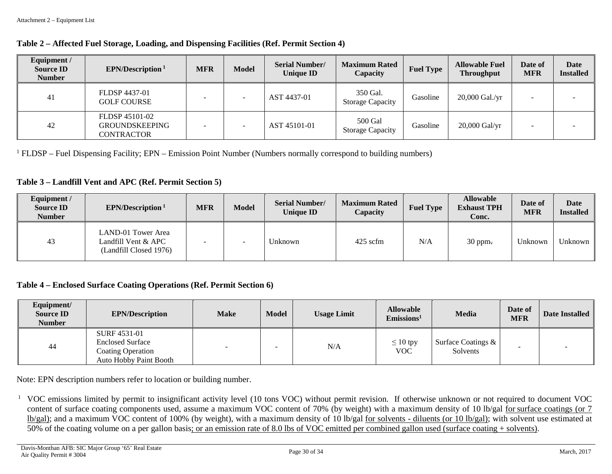| Table 2 – Affected Fuel Storage, Loading, and Dispensing Facilities (Ref. Permit Section 4) |  |  |
|---------------------------------------------------------------------------------------------|--|--|
|                                                                                             |  |  |

| Equipment /<br><b>Source ID</b><br><b>Number</b> | EPN/Description <sup>1</sup>                          | <b>MFR</b> | <b>Model</b> | <b>Serial Number/</b><br><b>Unique ID</b> | <b>Maximum Rated</b><br>Capacity    | <b>Fuel Type</b> | <b>Allowable Fuel</b><br><b>Throughput</b> | Date of<br><b>MFR</b> | Date<br><b>Installed</b> |
|--------------------------------------------------|-------------------------------------------------------|------------|--------------|-------------------------------------------|-------------------------------------|------------------|--------------------------------------------|-----------------------|--------------------------|
| 41                                               | FLDSP 4437-01<br><b>GOLF COURSE</b>                   |            |              | AST 4437-01                               | 350 Gal.<br><b>Storage Capacity</b> | Gasoline         | 20,000 Gal./yr                             |                       |                          |
| 42                                               | FLDSP 45101-02<br><b>GROUNDSKEEPING</b><br>CONTRACTOR |            |              | AST 45101-01                              | 500 Gal<br><b>Storage Capacity</b>  | Gasoline         | 20,000 Gal/yr                              |                       |                          |

 $1$  FLDSP – Fuel Dispensing Facility; EPN – Emission Point Number (Numbers normally correspond to building numbers)

#### **Table 3 – Landfill Vent and APC (Ref. Permit Section 5)**

| Equipment /<br><b>Source ID</b><br><b>Number</b> | EPN/Description <sup>1</sup>                                        | <b>MFR</b>               | Model | <b>Serial Number/</b><br><b>Unique ID</b> | <b>Maximum Rated</b><br>Capacity | <b>Fuel Type</b> | <b>Allowable</b><br><b>Exhaust TPH</b><br>Conc. | Date of<br><b>MFR</b> | Date<br><b>Installed</b> |
|--------------------------------------------------|---------------------------------------------------------------------|--------------------------|-------|-------------------------------------------|----------------------------------|------------------|-------------------------------------------------|-----------------------|--------------------------|
| 43                                               | LAND-01 Tower Area<br>Landfill Vent & APC<br>(Landfill Closed 1976) | $\overline{\phantom{a}}$ |       | Unknown                                   | $425$ scfm                       | N/A              | $30$ ppm <sub>v</sub>                           | Unknown               | Unknown                  |

#### **Table 4 – Enclosed Surface Coating Operations (Ref. Permit Section 6)**

| Equipment/<br><b>Source ID</b><br><b>Number</b> | <b>EPN/Description</b>                                                                               | <b>Make</b> | <b>Model</b> | <b>Usage Limit</b> | <b>Allowable</b><br>Emissions <sup>1</sup> | <b>Media</b>                   | Date of<br><b>MFR</b> | Date Installed |
|-------------------------------------------------|------------------------------------------------------------------------------------------------------|-------------|--------------|--------------------|--------------------------------------------|--------------------------------|-----------------------|----------------|
| 44                                              | SURF 4531-01<br><b>Enclosed Surface</b><br><b>Coating Operation</b><br><b>Auto Hobby Paint Booth</b> |             |              | N/A                | $\leq 10$ tpy<br><b>VOC</b>                | Surface Coatings &<br>Solvents |                       |                |

Note: EPN description numbers refer to location or building number.

<sup>1</sup> VOC emissions limited by permit to insignificant activity level (10 tons VOC) without permit revision. If otherwise unknown or not required to document VOC content of surface coating components used, assume a maximum VOC content of 70% (by weight) with a maximum density of 10 lb/gal for surface coatings (or 7 lb/gal); and a maximum VOC content of 100% (by weight), with a maximum density of 10 lb/gal for solvents - diluents (or 10 lb/gal); with solvent use estimated at 50% of the coating volume on a per gallon basis; or an emission rate of 8.0 lbs of VOC emitted per combined gallon used (surface coating + solvents).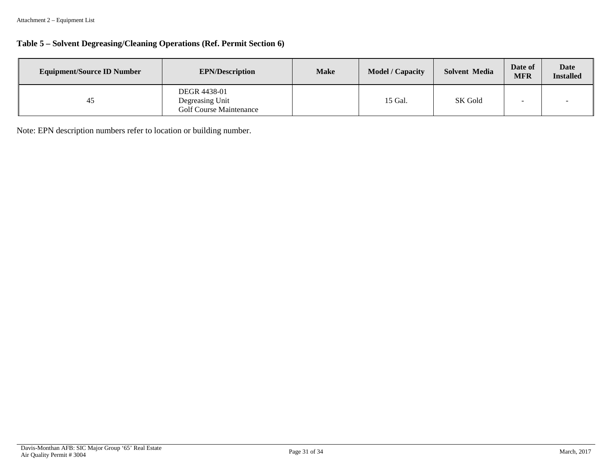# **Table 5 – Solvent Degreasing/Cleaning Operations (Ref. Permit Section 6)**

| <b>Equipment/Source ID Number</b> | <b>EPN/Description</b>                                            | <b>Make</b> | <b>Model / Capacity</b> | Solvent Media | Date of<br><b>MFR</b> | <b>Date</b><br><b>Installed</b> |
|-----------------------------------|-------------------------------------------------------------------|-------------|-------------------------|---------------|-----------------------|---------------------------------|
| 45                                | DEGR 4438-01<br>Degreasing Unit<br><b>Golf Course Maintenance</b> |             | 15 Gal.                 | SK Gold       |                       |                                 |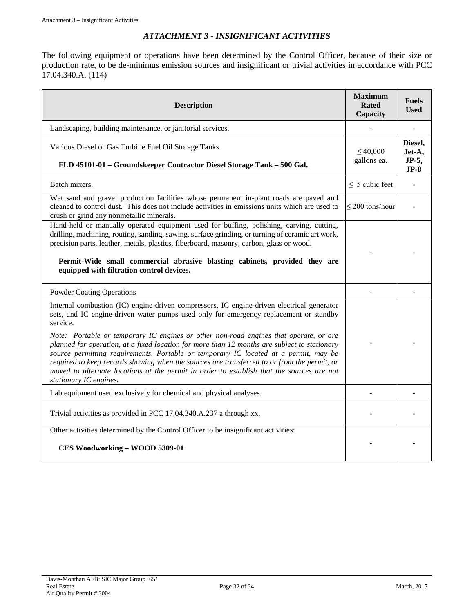# *ATTACHMENT 3 - INSIGNIFICANT ACTIVITIES*

<span id="page-31-0"></span>The following equipment or operations have been determined by the Control Officer, because of their size or production rate, to be de-minimus emission sources and insignificant or trivial activities in accordance with PCC 17.04.340.A. (114)

| <b>Description</b>                                                                                                                                                                                                                                                                                                                                                                                                                                                                                                                                                                                                                                                                                    | <b>Maximum</b><br><b>Rated</b><br>Capacity | <b>Fuels</b><br><b>Used</b>          |
|-------------------------------------------------------------------------------------------------------------------------------------------------------------------------------------------------------------------------------------------------------------------------------------------------------------------------------------------------------------------------------------------------------------------------------------------------------------------------------------------------------------------------------------------------------------------------------------------------------------------------------------------------------------------------------------------------------|--------------------------------------------|--------------------------------------|
| Landscaping, building maintenance, or janitorial services.                                                                                                                                                                                                                                                                                                                                                                                                                                                                                                                                                                                                                                            |                                            |                                      |
| Various Diesel or Gas Turbine Fuel Oil Storage Tanks.<br>FLD 45101-01 - Groundskeeper Contractor Diesel Storage Tank - 500 Gal.                                                                                                                                                                                                                                                                                                                                                                                                                                                                                                                                                                       | $\leq 40,000$<br>gallons ea.               | Diesel,<br>Jet-A,<br>JP-5,<br>$JP-8$ |
| Batch mixers.                                                                                                                                                                                                                                                                                                                                                                                                                                                                                                                                                                                                                                                                                         | $\leq$ 5 cubic feet                        |                                      |
| Wet sand and gravel production facilities whose permanent in-plant roads are paved and<br>cleaned to control dust. This does not include activities in emissions units which are used to<br>crush or grind any nonmetallic minerals.                                                                                                                                                                                                                                                                                                                                                                                                                                                                  | $\leq$ 200 tons/hour                       |                                      |
| Hand-held or manually operated equipment used for buffing, polishing, carving, cutting,<br>drilling, machining, routing, sanding, sawing, surface grinding, or turning of ceramic art work,<br>precision parts, leather, metals, plastics, fiberboard, masonry, carbon, glass or wood.<br>Permit-Wide small commercial abrasive blasting cabinets, provided they are<br>equipped with filtration control devices.                                                                                                                                                                                                                                                                                     |                                            |                                      |
| <b>Powder Coating Operations</b>                                                                                                                                                                                                                                                                                                                                                                                                                                                                                                                                                                                                                                                                      |                                            |                                      |
| Internal combustion (IC) engine-driven compressors, IC engine-driven electrical generator<br>sets, and IC engine-driven water pumps used only for emergency replacement or standby<br>service.<br>Note: Portable or temporary IC engines or other non-road engines that operate, or are<br>planned for operation, at a fixed location for more than 12 months are subject to stationary<br>source permitting requirements. Portable or temporary IC located at a permit, may be<br>required to keep records showing when the sources are transferred to or from the permit, or<br>moved to alternate locations at the permit in order to establish that the sources are not<br>stationary IC engines. |                                            |                                      |
| Lab equipment used exclusively for chemical and physical analyses.                                                                                                                                                                                                                                                                                                                                                                                                                                                                                                                                                                                                                                    |                                            |                                      |
| Trivial activities as provided in PCC 17.04.340.A.237 a through xx.                                                                                                                                                                                                                                                                                                                                                                                                                                                                                                                                                                                                                                   |                                            |                                      |
| Other activities determined by the Control Officer to be insignificant activities:<br>CES Woodworking - WOOD 5309-01                                                                                                                                                                                                                                                                                                                                                                                                                                                                                                                                                                                  |                                            |                                      |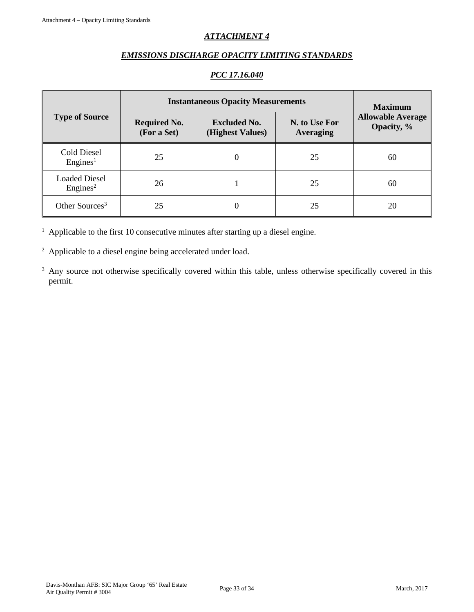# *ATTACHMENT 4*

# *EMISSIONS DISCHARGE OPACITY LIMITING STANDARDS*

# *PCC 17.16.040*

<span id="page-32-0"></span>

|                                              | <b>Instantaneous Opacity Measurements</b> | <b>Maximum</b>                          |                                   |                                        |  |
|----------------------------------------------|-------------------------------------------|-----------------------------------------|-----------------------------------|----------------------------------------|--|
| <b>Type of Source</b>                        | <b>Required No.</b><br>(For a Set)        | <b>Excluded No.</b><br>(Highest Values) | N. to Use For<br><b>Averaging</b> | <b>Allowable Average</b><br>Opacity, % |  |
| Cold Diesel<br>Engines <sup>1</sup>          | 25                                        | $\theta$                                | 25                                | 60                                     |  |
| <b>Loaded Diesel</b><br>Engines <sup>2</sup> | 26                                        |                                         | 25                                | 60                                     |  |
| Other Sources <sup>3</sup>                   | 25                                        |                                         | 25                                | 20                                     |  |

 $1$  Applicable to the first 10 consecutive minutes after starting up a diesel engine.

<sup>2</sup> Applicable to a diesel engine being accelerated under load.

<sup>3</sup> Any source not otherwise specifically covered within this table, unless otherwise specifically covered in this permit.